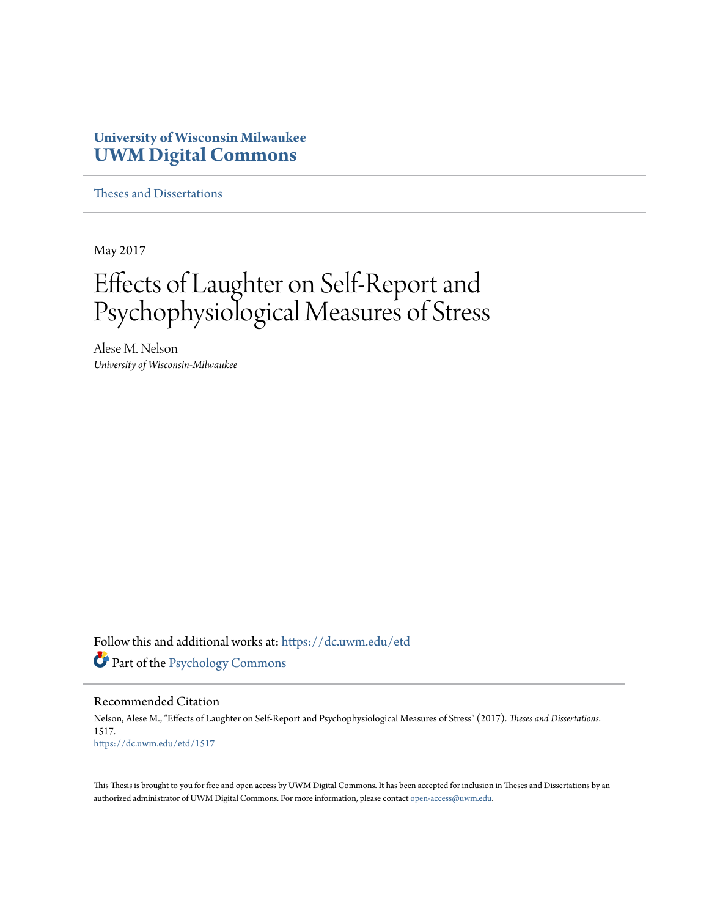# **University of Wisconsin Milwaukee [UWM Digital Commons](https://dc.uwm.edu/?utm_source=dc.uwm.edu%2Fetd%2F1517&utm_medium=PDF&utm_campaign=PDFCoverPages)**

[Theses and Dissertations](https://dc.uwm.edu/etd?utm_source=dc.uwm.edu%2Fetd%2F1517&utm_medium=PDF&utm_campaign=PDFCoverPages)

May 2017

# Effects of Laughter on Self-Report and Psychophysiological Measures of Stress

Alese M. Nelson *University of Wisconsin-Milwaukee*

Follow this and additional works at: [https://dc.uwm.edu/etd](https://dc.uwm.edu/etd?utm_source=dc.uwm.edu%2Fetd%2F1517&utm_medium=PDF&utm_campaign=PDFCoverPages) Part of the [Psychology Commons](http://network.bepress.com/hgg/discipline/404?utm_source=dc.uwm.edu%2Fetd%2F1517&utm_medium=PDF&utm_campaign=PDFCoverPages)

#### Recommended Citation

Nelson, Alese M., "Effects of Laughter on Self-Report and Psychophysiological Measures of Stress" (2017). *Theses and Dissertations*. 1517. [https://dc.uwm.edu/etd/1517](https://dc.uwm.edu/etd/1517?utm_source=dc.uwm.edu%2Fetd%2F1517&utm_medium=PDF&utm_campaign=PDFCoverPages)

This Thesis is brought to you for free and open access by UWM Digital Commons. It has been accepted for inclusion in Theses and Dissertations by an authorized administrator of UWM Digital Commons. For more information, please contact [open-access@uwm.edu.](mailto:open-access@uwm.edu)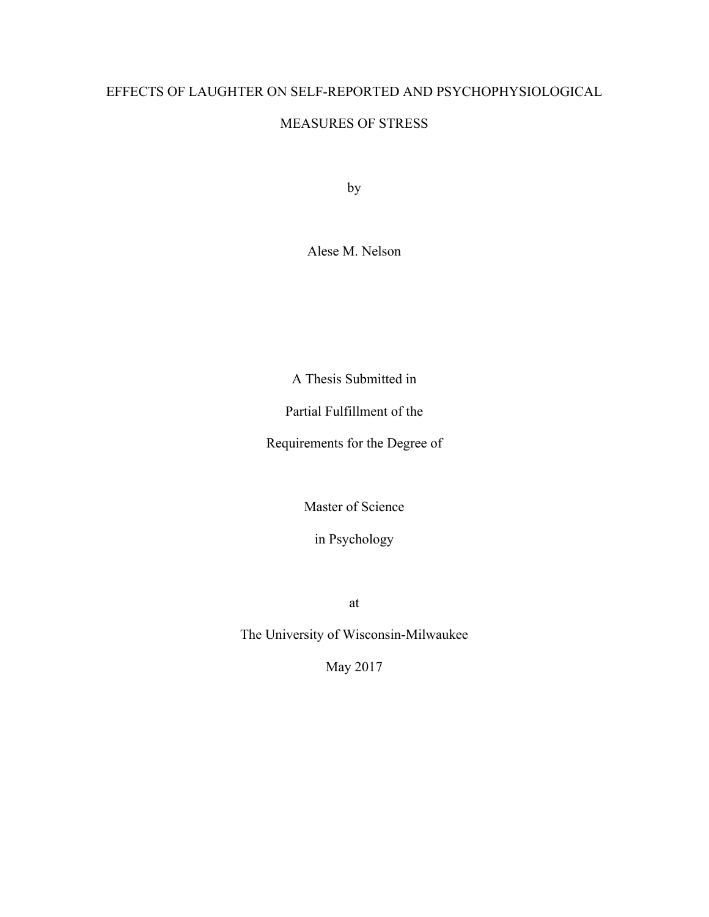# EFFECTS OF LAUGHTER ON SELF-REPORTED AND PSYCHOPHYSIOLOGICAL

# MEASURES OF STRESS

by

Alese M. Nelson

A Thesis Submitted in

Partial Fulfillment of the

Requirements for the Degree of

Master of Science

in Psychology

at

The University of Wisconsin-Milwaukee

May 2017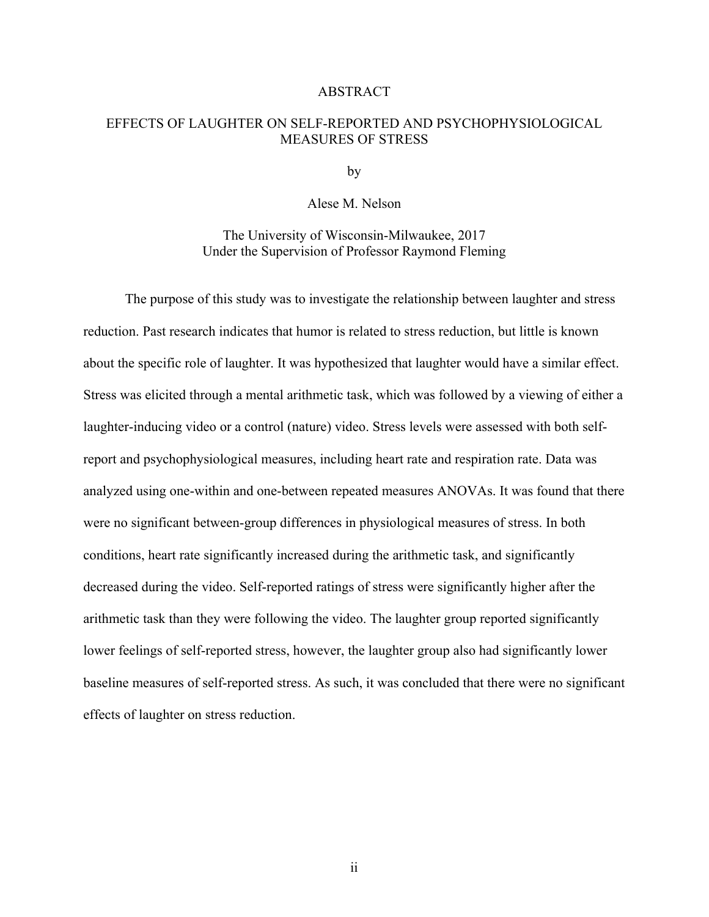## ABSTRACT

## EFFECTS OF LAUGHTER ON SELF-REPORTED AND PSYCHOPHYSIOLOGICAL MEASURES OF STRESS

by

## Alese M. Nelson

The University of Wisconsin-Milwaukee, 2017 Under the Supervision of Professor Raymond Fleming

The purpose of this study was to investigate the relationship between laughter and stress reduction. Past research indicates that humor is related to stress reduction, but little is known about the specific role of laughter. It was hypothesized that laughter would have a similar effect. Stress was elicited through a mental arithmetic task, which was followed by a viewing of either a laughter-inducing video or a control (nature) video. Stress levels were assessed with both selfreport and psychophysiological measures, including heart rate and respiration rate. Data was analyzed using one-within and one-between repeated measures ANOVAs. It was found that there were no significant between-group differences in physiological measures of stress. In both conditions, heart rate significantly increased during the arithmetic task, and significantly decreased during the video. Self-reported ratings of stress were significantly higher after the arithmetic task than they were following the video. The laughter group reported significantly lower feelings of self-reported stress, however, the laughter group also had significantly lower baseline measures of self-reported stress. As such, it was concluded that there were no significant effects of laughter on stress reduction.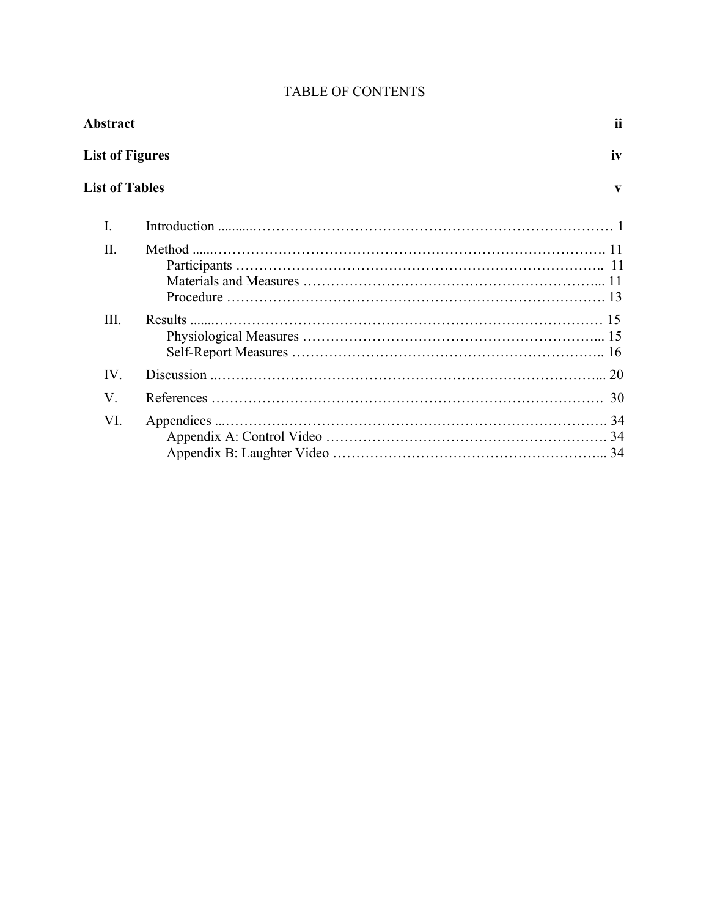| <b>Abstract</b>        |        |    |  |  |
|------------------------|--------|----|--|--|
| <b>List of Figures</b> |        |    |  |  |
| <b>List of Tables</b>  |        | V  |  |  |
| I.                     |        |    |  |  |
| Π.                     | Method |    |  |  |
| Ш.                     |        |    |  |  |
| IV.                    |        |    |  |  |
| $V_{.}$                |        | 30 |  |  |
| VI.                    |        |    |  |  |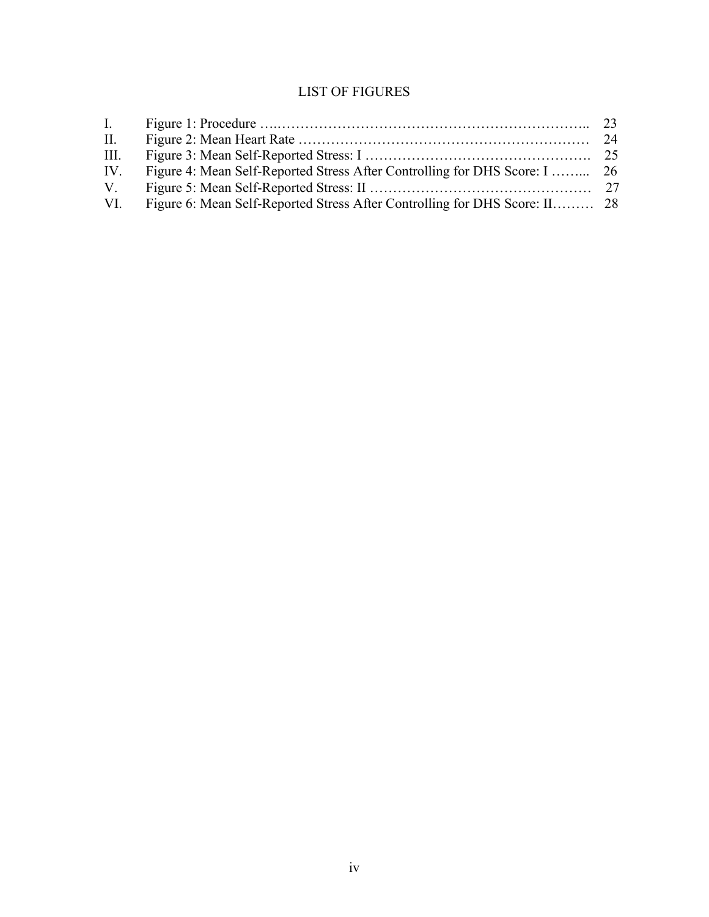# LIST OF FIGURES

| $\mathbf{I}$ . |                                                                            |  |
|----------------|----------------------------------------------------------------------------|--|
| П.             |                                                                            |  |
| III.           |                                                                            |  |
| IV.            |                                                                            |  |
| V.             |                                                                            |  |
| VI.            | Figure 6: Mean Self-Reported Stress After Controlling for DHS Score: II 28 |  |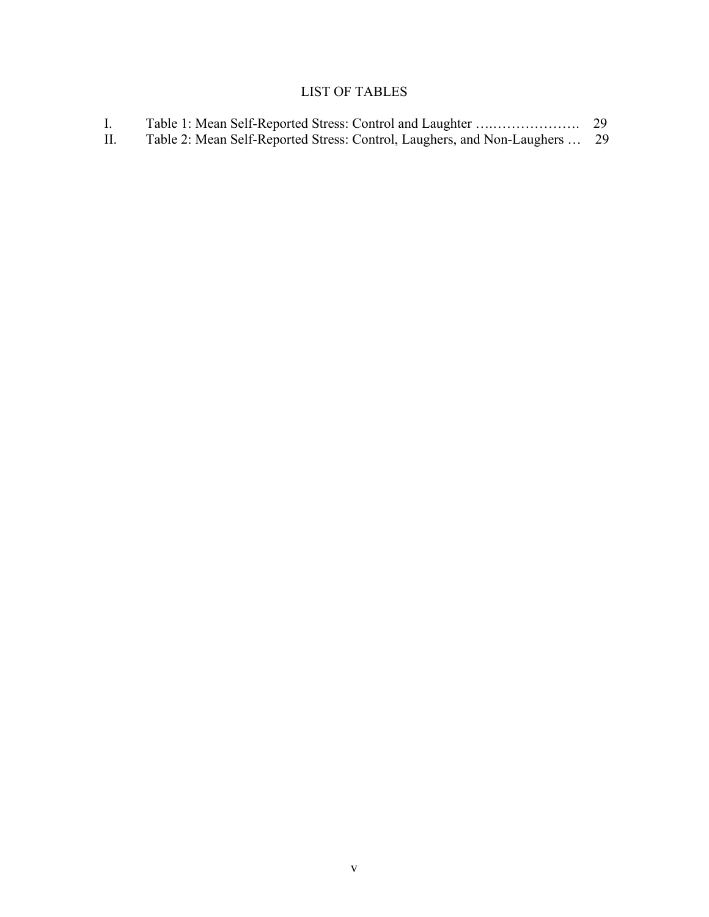# LIST OF TABLES

| $\mathbf{L}$ |                                                                             |  |
|--------------|-----------------------------------------------------------------------------|--|
|              | Table 2: Mean Self-Reported Stress: Control, Laughers, and Non-Laughers  29 |  |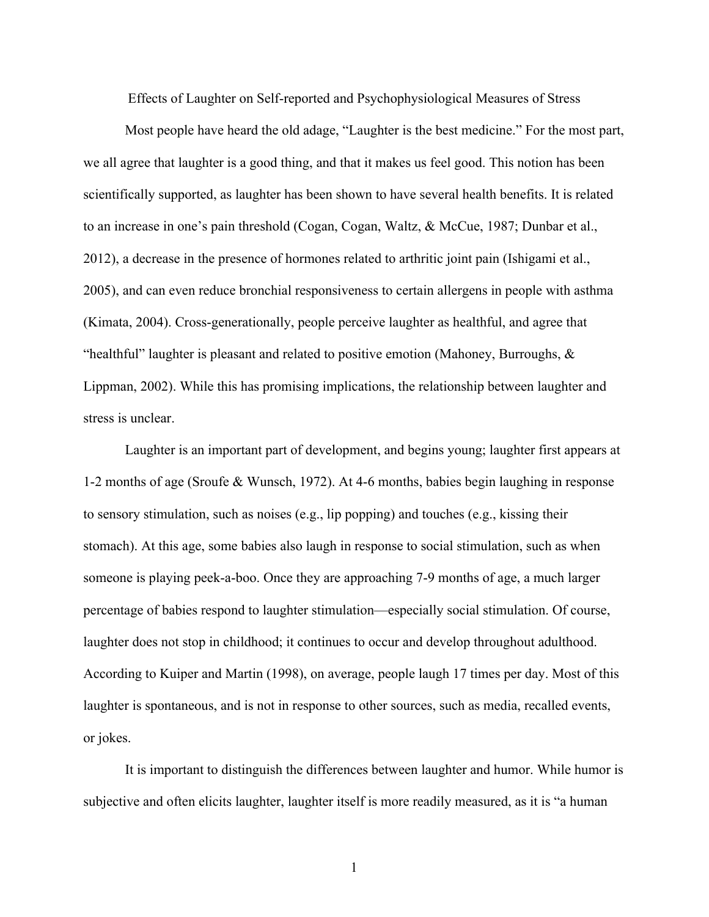Effects of Laughter on Self-reported and Psychophysiological Measures of Stress

Most people have heard the old adage, "Laughter is the best medicine." For the most part, we all agree that laughter is a good thing, and that it makes us feel good. This notion has been scientifically supported, as laughter has been shown to have several health benefits. It is related to an increase in one's pain threshold (Cogan, Cogan, Waltz, & McCue, 1987; Dunbar et al., 2012), a decrease in the presence of hormones related to arthritic joint pain (Ishigami et al., 2005), and can even reduce bronchial responsiveness to certain allergens in people with asthma (Kimata, 2004). Cross-generationally, people perceive laughter as healthful, and agree that "healthful" laughter is pleasant and related to positive emotion (Mahoney, Burroughs, & Lippman, 2002). While this has promising implications, the relationship between laughter and stress is unclear.

Laughter is an important part of development, and begins young; laughter first appears at 1-2 months of age (Sroufe & Wunsch, 1972). At 4-6 months, babies begin laughing in response to sensory stimulation, such as noises (e.g., lip popping) and touches (e.g., kissing their stomach). At this age, some babies also laugh in response to social stimulation, such as when someone is playing peek-a-boo. Once they are approaching 7-9 months of age, a much larger percentage of babies respond to laughter stimulation—especially social stimulation. Of course, laughter does not stop in childhood; it continues to occur and develop throughout adulthood. According to Kuiper and Martin (1998), on average, people laugh 17 times per day. Most of this laughter is spontaneous, and is not in response to other sources, such as media, recalled events, or jokes.

It is important to distinguish the differences between laughter and humor. While humor is subjective and often elicits laughter, laughter itself is more readily measured, as it is "a human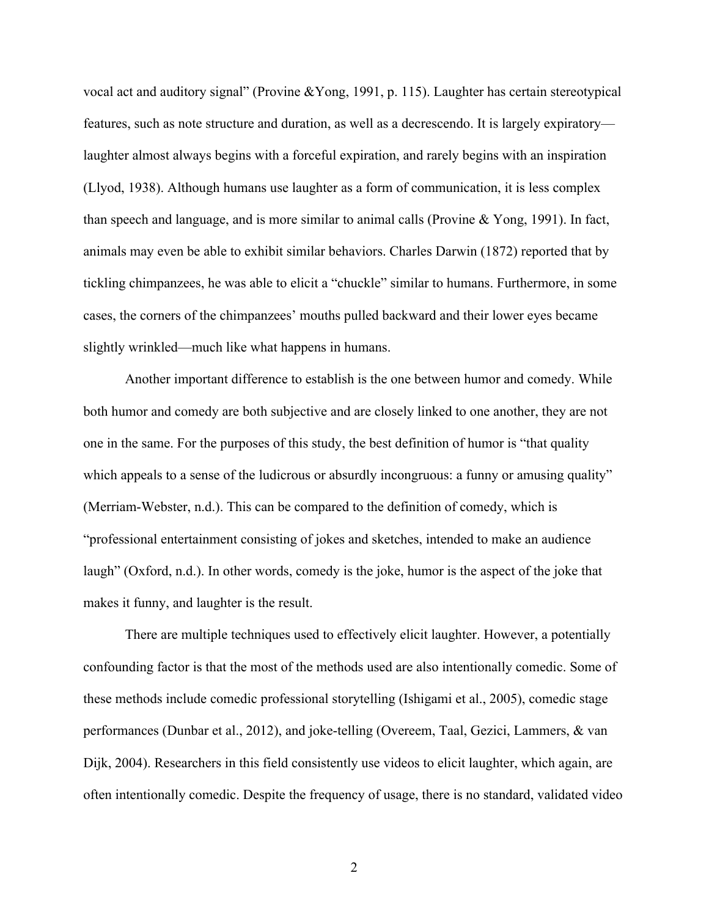vocal act and auditory signal" (Provine &Yong, 1991, p. 115). Laughter has certain stereotypical features, such as note structure and duration, as well as a decrescendo. It is largely expiratory laughter almost always begins with a forceful expiration, and rarely begins with an inspiration (Llyod, 1938). Although humans use laughter as a form of communication, it is less complex than speech and language, and is more similar to animal calls (Provine & Yong, 1991). In fact, animals may even be able to exhibit similar behaviors. Charles Darwin (1872) reported that by tickling chimpanzees, he was able to elicit a "chuckle" similar to humans. Furthermore, in some cases, the corners of the chimpanzees' mouths pulled backward and their lower eyes became slightly wrinkled—much like what happens in humans.

Another important difference to establish is the one between humor and comedy. While both humor and comedy are both subjective and are closely linked to one another, they are not one in the same. For the purposes of this study, the best definition of humor is "that quality which appeals to a sense of the ludicrous or absurdly incongruous: a funny or amusing quality" (Merriam-Webster, n.d.). This can be compared to the definition of comedy, which is "professional entertainment consisting of jokes and sketches, intended to make an audience laugh" (Oxford, n.d.). In other words, comedy is the joke, humor is the aspect of the joke that makes it funny, and laughter is the result.

There are multiple techniques used to effectively elicit laughter. However, a potentially confounding factor is that the most of the methods used are also intentionally comedic. Some of these methods include comedic professional storytelling (Ishigami et al., 2005), comedic stage performances (Dunbar et al., 2012), and joke-telling (Overeem, Taal, Gezici, Lammers, & van Dijk, 2004). Researchers in this field consistently use videos to elicit laughter, which again, are often intentionally comedic. Despite the frequency of usage, there is no standard, validated video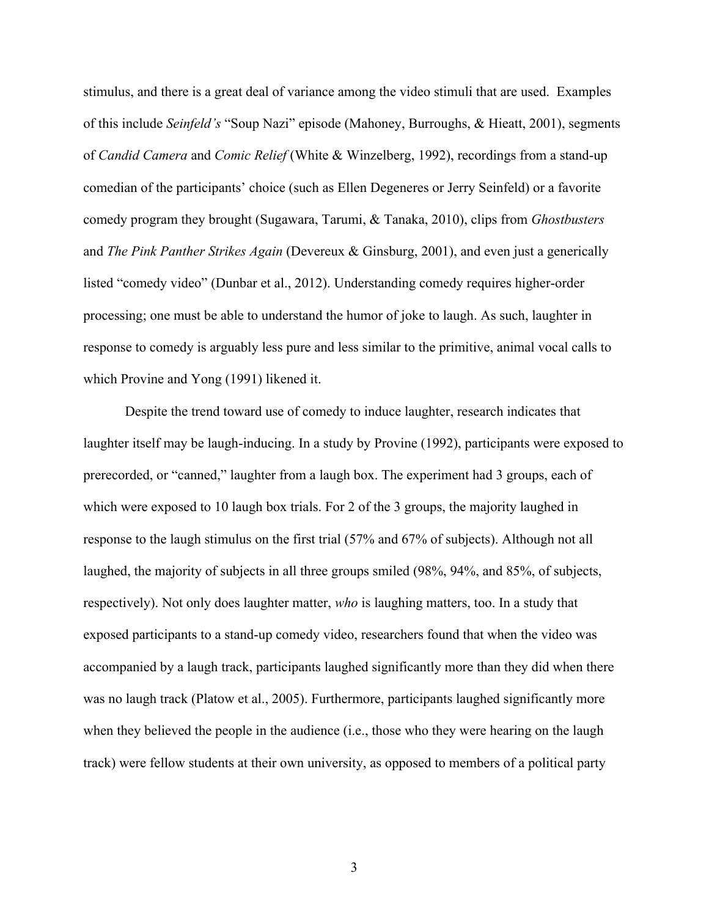stimulus, and there is a great deal of variance among the video stimuli that are used. Examples of this include *Seinfeld's* "Soup Nazi" episode (Mahoney, Burroughs, & Hieatt, 2001), segments of *Candid Camera* and *Comic Relief* (White & Winzelberg, 1992), recordings from a stand-up comedian of the participants' choice (such as Ellen Degeneres or Jerry Seinfeld) or a favorite comedy program they brought (Sugawara, Tarumi, & Tanaka, 2010), clips from *Ghostbusters*  and *The Pink Panther Strikes Again* (Devereux & Ginsburg, 2001), and even just a generically listed "comedy video" (Dunbar et al., 2012). Understanding comedy requires higher-order processing; one must be able to understand the humor of joke to laugh. As such, laughter in response to comedy is arguably less pure and less similar to the primitive, animal vocal calls to which Provine and Yong (1991) likened it.

Despite the trend toward use of comedy to induce laughter, research indicates that laughter itself may be laugh-inducing. In a study by Provine (1992), participants were exposed to prerecorded, or "canned," laughter from a laugh box. The experiment had 3 groups, each of which were exposed to 10 laugh box trials. For 2 of the 3 groups, the majority laughed in response to the laugh stimulus on the first trial (57% and 67% of subjects). Although not all laughed, the majority of subjects in all three groups smiled (98%, 94%, and 85%, of subjects, respectively). Not only does laughter matter, *who* is laughing matters, too. In a study that exposed participants to a stand-up comedy video, researchers found that when the video was accompanied by a laugh track, participants laughed significantly more than they did when there was no laugh track (Platow et al., 2005). Furthermore, participants laughed significantly more when they believed the people in the audience (i.e., those who they were hearing on the laugh track) were fellow students at their own university, as opposed to members of a political party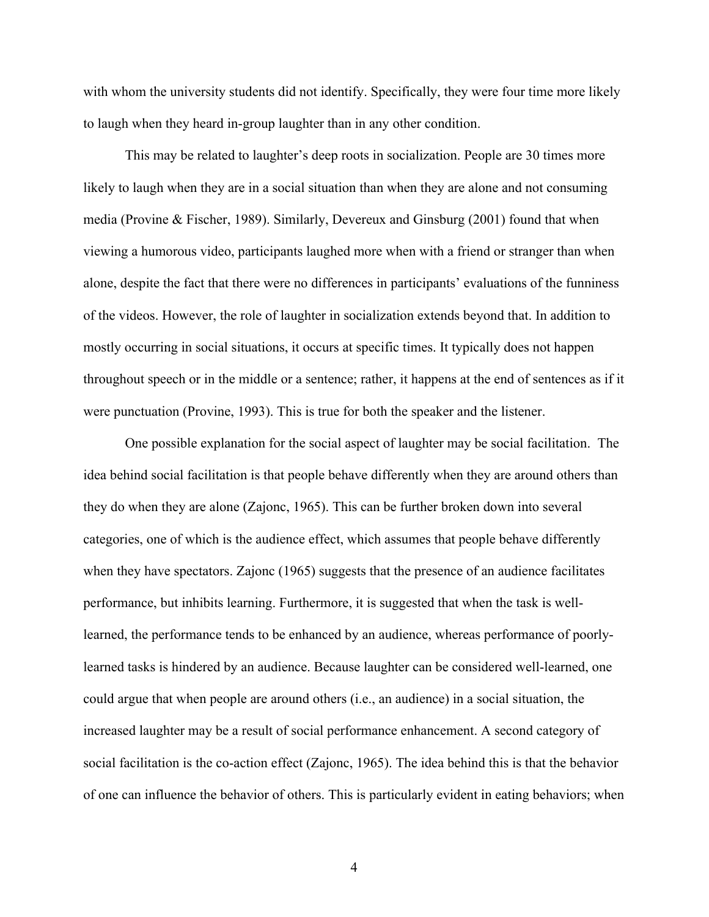with whom the university students did not identify. Specifically, they were four time more likely to laugh when they heard in-group laughter than in any other condition.

This may be related to laughter's deep roots in socialization. People are 30 times more likely to laugh when they are in a social situation than when they are alone and not consuming media (Provine & Fischer, 1989). Similarly, Devereux and Ginsburg (2001) found that when viewing a humorous video, participants laughed more when with a friend or stranger than when alone, despite the fact that there were no differences in participants' evaluations of the funniness of the videos. However, the role of laughter in socialization extends beyond that. In addition to mostly occurring in social situations, it occurs at specific times. It typically does not happen throughout speech or in the middle or a sentence; rather, it happens at the end of sentences as if it were punctuation (Provine, 1993). This is true for both the speaker and the listener.

One possible explanation for the social aspect of laughter may be social facilitation. The idea behind social facilitation is that people behave differently when they are around others than they do when they are alone (Zajonc, 1965). This can be further broken down into several categories, one of which is the audience effect, which assumes that people behave differently when they have spectators. Zajonc (1965) suggests that the presence of an audience facilitates performance, but inhibits learning. Furthermore, it is suggested that when the task is welllearned, the performance tends to be enhanced by an audience, whereas performance of poorlylearned tasks is hindered by an audience. Because laughter can be considered well-learned, one could argue that when people are around others (i.e., an audience) in a social situation, the increased laughter may be a result of social performance enhancement. A second category of social facilitation is the co-action effect (Zajonc, 1965). The idea behind this is that the behavior of one can influence the behavior of others. This is particularly evident in eating behaviors; when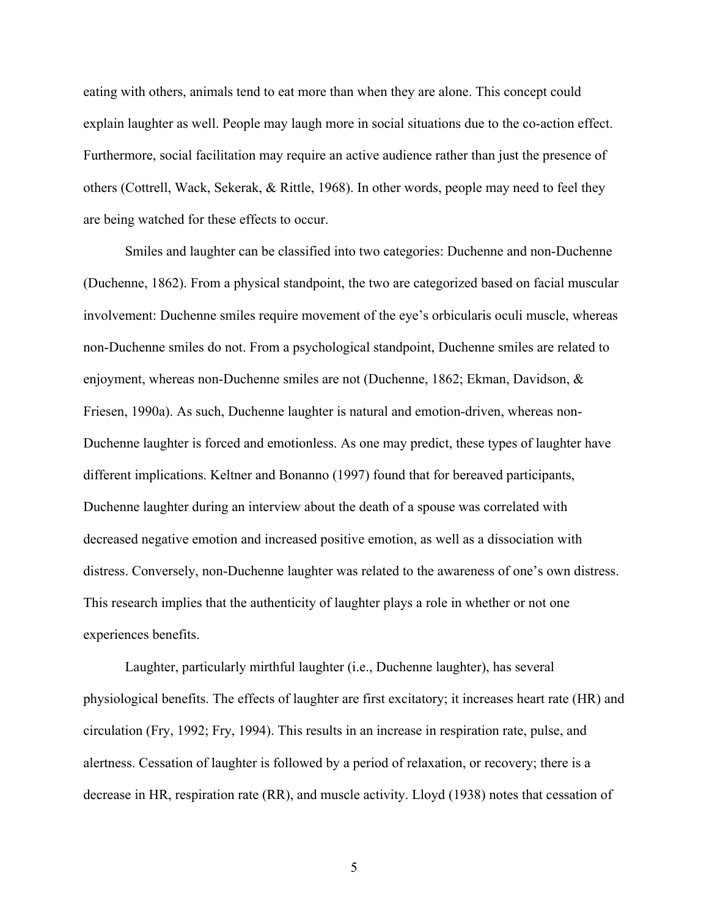eating with others, animals tend to eat more than when they are alone. This concept could explain laughter as well. People may laugh more in social situations due to the co-action effect. Furthermore, social facilitation may require an active audience rather than just the presence of others (Cottrell, Wack, Sekerak, & Rittle, 1968). In other words, people may need to feel they are being watched for these effects to occur.

Smiles and laughter can be classified into two categories: Duchenne and non-Duchenne (Duchenne, 1862). From a physical standpoint, the two are categorized based on facial muscular involvement: Duchenne smiles require movement of the eye's orbicularis oculi muscle, whereas non-Duchenne smiles do not. From a psychological standpoint, Duchenne smiles are related to enjoyment, whereas non-Duchenne smiles are not (Duchenne, 1862; Ekman, Davidson, & Friesen, 1990a). As such, Duchenne laughter is natural and emotion-driven, whereas non-Duchenne laughter is forced and emotionless. As one may predict, these types of laughter have different implications. Keltner and Bonanno (1997) found that for bereaved participants, Duchenne laughter during an interview about the death of a spouse was correlated with decreased negative emotion and increased positive emotion, as well as a dissociation with distress. Conversely, non-Duchenne laughter was related to the awareness of one's own distress. This research implies that the authenticity of laughter plays a role in whether or not one experiences benefits.

Laughter, particularly mirthful laughter (i.e., Duchenne laughter), has several physiological benefits. The effects of laughter are first excitatory; it increases heart rate (HR) and circulation (Fry, 1992; Fry, 1994). This results in an increase in respiration rate, pulse, and alertness. Cessation of laughter is followed by a period of relaxation, or recovery; there is a decrease in HR, respiration rate (RR), and muscle activity. Lloyd (1938) notes that cessation of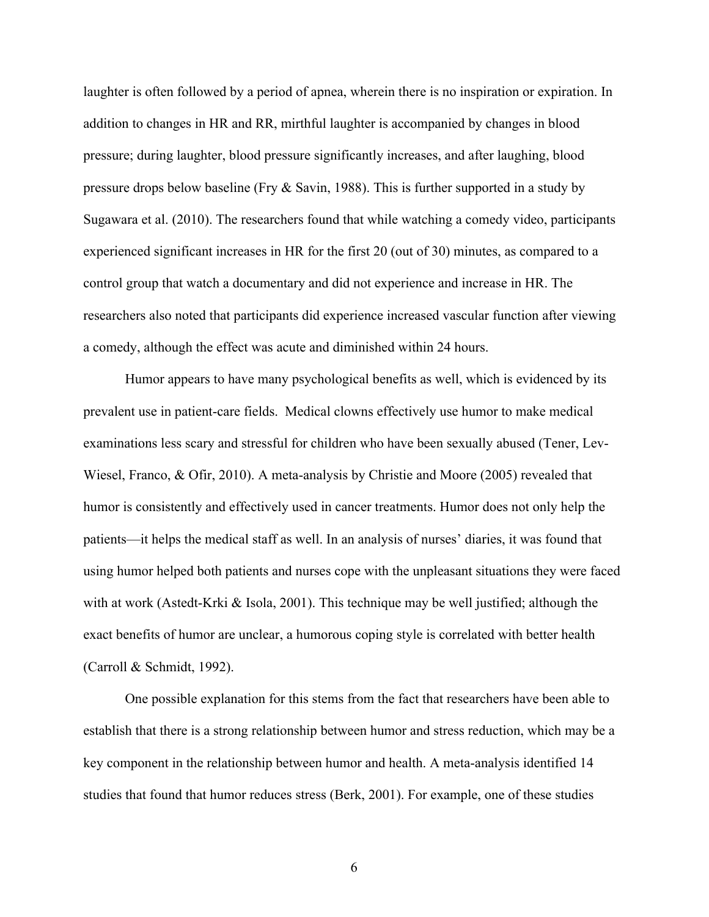laughter is often followed by a period of apnea, wherein there is no inspiration or expiration. In addition to changes in HR and RR, mirthful laughter is accompanied by changes in blood pressure; during laughter, blood pressure significantly increases, and after laughing, blood pressure drops below baseline (Fry & Savin, 1988). This is further supported in a study by Sugawara et al. (2010). The researchers found that while watching a comedy video, participants experienced significant increases in HR for the first 20 (out of 30) minutes, as compared to a control group that watch a documentary and did not experience and increase in HR. The researchers also noted that participants did experience increased vascular function after viewing a comedy, although the effect was acute and diminished within 24 hours.

Humor appears to have many psychological benefits as well, which is evidenced by its prevalent use in patient-care fields. Medical clowns effectively use humor to make medical examinations less scary and stressful for children who have been sexually abused (Tener, Lev-Wiesel, Franco, & Ofir, 2010). A meta-analysis by Christie and Moore (2005) revealed that humor is consistently and effectively used in cancer treatments. Humor does not only help the patients—it helps the medical staff as well. In an analysis of nurses' diaries, it was found that using humor helped both patients and nurses cope with the unpleasant situations they were faced with at work (Astedt-Krki  $\&$  Isola, 2001). This technique may be well justified; although the exact benefits of humor are unclear, a humorous coping style is correlated with better health (Carroll & Schmidt, 1992).

One possible explanation for this stems from the fact that researchers have been able to establish that there is a strong relationship between humor and stress reduction, which may be a key component in the relationship between humor and health. A meta-analysis identified 14 studies that found that humor reduces stress (Berk, 2001). For example, one of these studies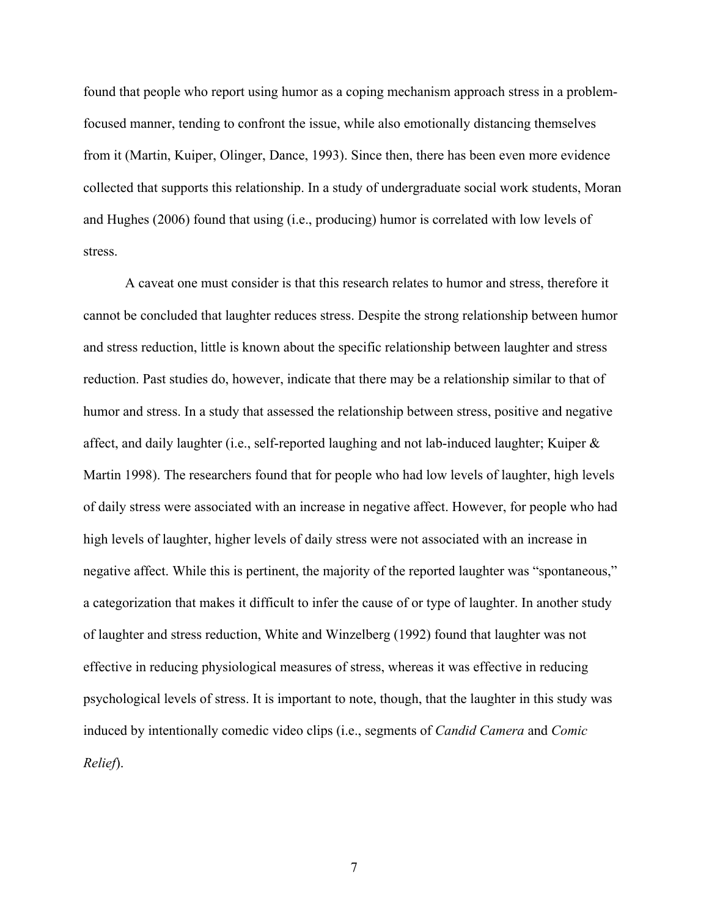found that people who report using humor as a coping mechanism approach stress in a problemfocused manner, tending to confront the issue, while also emotionally distancing themselves from it (Martin, Kuiper, Olinger, Dance, 1993). Since then, there has been even more evidence collected that supports this relationship. In a study of undergraduate social work students, Moran and Hughes (2006) found that using (i.e., producing) humor is correlated with low levels of stress.

A caveat one must consider is that this research relates to humor and stress, therefore it cannot be concluded that laughter reduces stress. Despite the strong relationship between humor and stress reduction, little is known about the specific relationship between laughter and stress reduction. Past studies do, however, indicate that there may be a relationship similar to that of humor and stress. In a study that assessed the relationship between stress, positive and negative affect, and daily laughter (i.e., self-reported laughing and not lab-induced laughter; Kuiper  $\&$ Martin 1998). The researchers found that for people who had low levels of laughter, high levels of daily stress were associated with an increase in negative affect. However, for people who had high levels of laughter, higher levels of daily stress were not associated with an increase in negative affect. While this is pertinent, the majority of the reported laughter was "spontaneous," a categorization that makes it difficult to infer the cause of or type of laughter. In another study of laughter and stress reduction, White and Winzelberg (1992) found that laughter was not effective in reducing physiological measures of stress, whereas it was effective in reducing psychological levels of stress. It is important to note, though, that the laughter in this study was induced by intentionally comedic video clips (i.e., segments of *Candid Camera* and *Comic Relief*).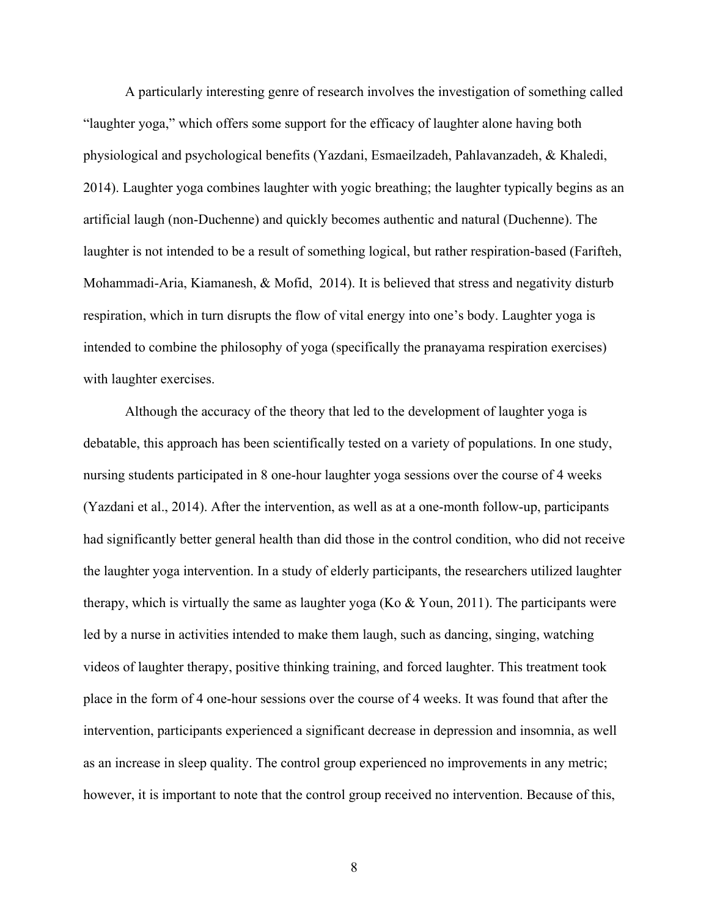A particularly interesting genre of research involves the investigation of something called "laughter yoga," which offers some support for the efficacy of laughter alone having both physiological and psychological benefits (Yazdani, Esmaeilzadeh, Pahlavanzadeh, & Khaledi, 2014). Laughter yoga combines laughter with yogic breathing; the laughter typically begins as an artificial laugh (non-Duchenne) and quickly becomes authentic and natural (Duchenne). The laughter is not intended to be a result of something logical, but rather respiration-based (Farifteh, Mohammadi-Aria, Kiamanesh, & Mofid, 2014). It is believed that stress and negativity disturb respiration, which in turn disrupts the flow of vital energy into one's body. Laughter yoga is intended to combine the philosophy of yoga (specifically the pranayama respiration exercises) with laughter exercises.

Although the accuracy of the theory that led to the development of laughter yoga is debatable, this approach has been scientifically tested on a variety of populations. In one study, nursing students participated in 8 one-hour laughter yoga sessions over the course of 4 weeks (Yazdani et al., 2014). After the intervention, as well as at a one-month follow-up, participants had significantly better general health than did those in the control condition, who did not receive the laughter yoga intervention. In a study of elderly participants, the researchers utilized laughter therapy, which is virtually the same as laughter yoga (Ko  $\&$  Youn, 2011). The participants were led by a nurse in activities intended to make them laugh, such as dancing, singing, watching videos of laughter therapy, positive thinking training, and forced laughter. This treatment took place in the form of 4 one-hour sessions over the course of 4 weeks. It was found that after the intervention, participants experienced a significant decrease in depression and insomnia, as well as an increase in sleep quality. The control group experienced no improvements in any metric; however, it is important to note that the control group received no intervention. Because of this,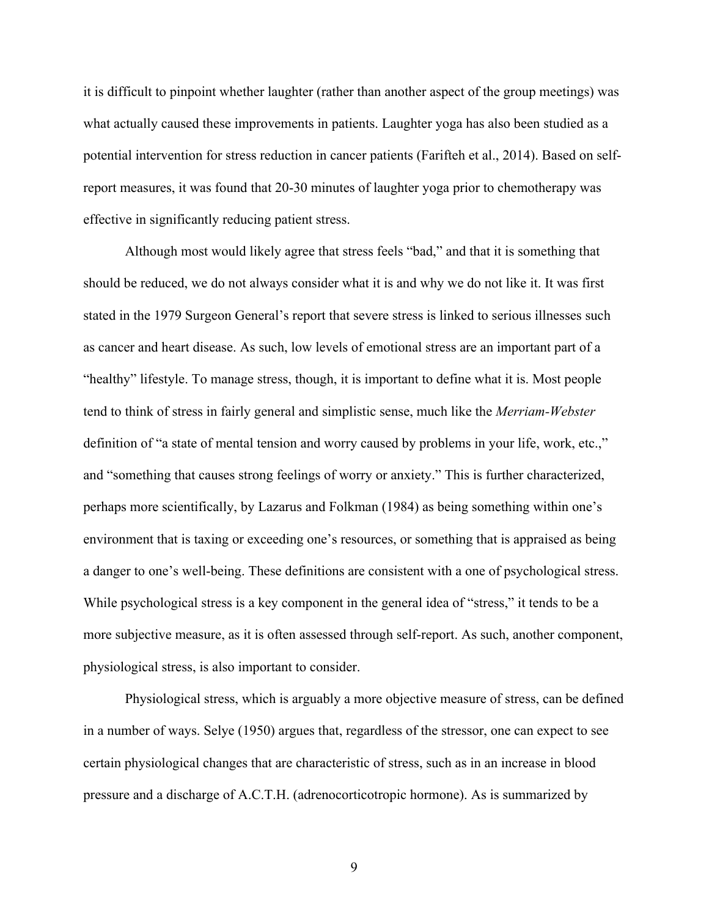it is difficult to pinpoint whether laughter (rather than another aspect of the group meetings) was what actually caused these improvements in patients. Laughter yoga has also been studied as a potential intervention for stress reduction in cancer patients (Farifteh et al., 2014). Based on selfreport measures, it was found that 20-30 minutes of laughter yoga prior to chemotherapy was effective in significantly reducing patient stress.

Although most would likely agree that stress feels "bad," and that it is something that should be reduced, we do not always consider what it is and why we do not like it. It was first stated in the 1979 Surgeon General's report that severe stress is linked to serious illnesses such as cancer and heart disease. As such, low levels of emotional stress are an important part of a "healthy" lifestyle. To manage stress, though, it is important to define what it is. Most people tend to think of stress in fairly general and simplistic sense, much like the *Merriam-Webster* definition of "a state of mental tension and worry caused by problems in your life, work, etc.," and "something that causes strong feelings of worry or anxiety." This is further characterized, perhaps more scientifically, by Lazarus and Folkman (1984) as being something within one's environment that is taxing or exceeding one's resources, or something that is appraised as being a danger to one's well-being. These definitions are consistent with a one of psychological stress. While psychological stress is a key component in the general idea of "stress," it tends to be a more subjective measure, as it is often assessed through self-report. As such, another component, physiological stress, is also important to consider.

Physiological stress, which is arguably a more objective measure of stress, can be defined in a number of ways. Selye (1950) argues that, regardless of the stressor, one can expect to see certain physiological changes that are characteristic of stress, such as in an increase in blood pressure and a discharge of A.C.T.H. (adrenocorticotropic hormone). As is summarized by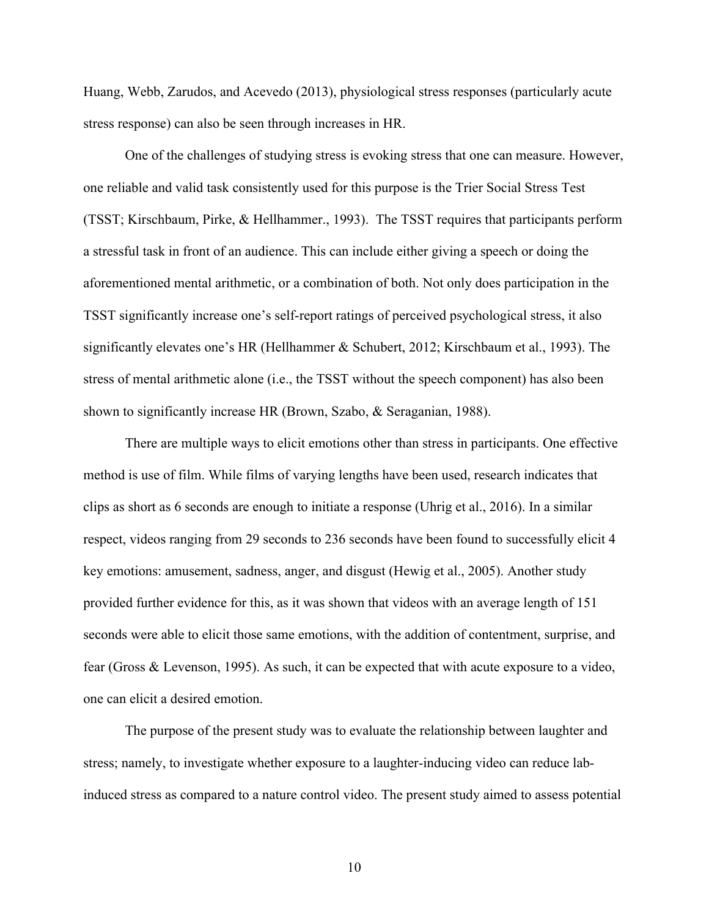Huang, Webb, Zarudos, and Acevedo (2013), physiological stress responses (particularly acute stress response) can also be seen through increases in HR.

One of the challenges of studying stress is evoking stress that one can measure. However, one reliable and valid task consistently used for this purpose is the Trier Social Stress Test (TSST; Kirschbaum, Pirke, & Hellhammer., 1993). The TSST requires that participants perform a stressful task in front of an audience. This can include either giving a speech or doing the aforementioned mental arithmetic, or a combination of both. Not only does participation in the TSST significantly increase one's self-report ratings of perceived psychological stress, it also significantly elevates one's HR (Hellhammer & Schubert, 2012; Kirschbaum et al., 1993). The stress of mental arithmetic alone (i.e., the TSST without the speech component) has also been shown to significantly increase HR (Brown, Szabo, & Seraganian, 1988).

There are multiple ways to elicit emotions other than stress in participants. One effective method is use of film. While films of varying lengths have been used, research indicates that clips as short as 6 seconds are enough to initiate a response (Uhrig et al., 2016). In a similar respect, videos ranging from 29 seconds to 236 seconds have been found to successfully elicit 4 key emotions: amusement, sadness, anger, and disgust (Hewig et al., 2005). Another study provided further evidence for this, as it was shown that videos with an average length of 151 seconds were able to elicit those same emotions, with the addition of contentment, surprise, and fear (Gross & Levenson, 1995). As such, it can be expected that with acute exposure to a video, one can elicit a desired emotion.

The purpose of the present study was to evaluate the relationship between laughter and stress; namely, to investigate whether exposure to a laughter-inducing video can reduce labinduced stress as compared to a nature control video. The present study aimed to assess potential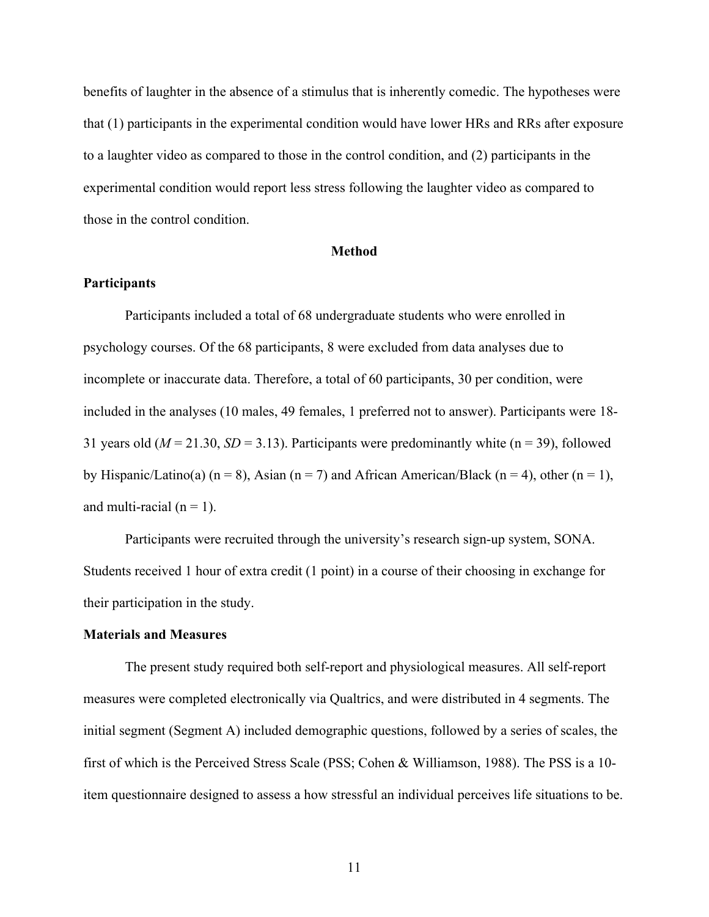benefits of laughter in the absence of a stimulus that is inherently comedic. The hypotheses were that (1) participants in the experimental condition would have lower HRs and RRs after exposure to a laughter video as compared to those in the control condition, and (2) participants in the experimental condition would report less stress following the laughter video as compared to those in the control condition.

## **Method**

## **Participants**

Participants included a total of 68 undergraduate students who were enrolled in psychology courses. Of the 68 participants, 8 were excluded from data analyses due to incomplete or inaccurate data. Therefore, a total of 60 participants, 30 per condition, were included in the analyses (10 males, 49 females, 1 preferred not to answer). Participants were 18- 31 years old ( $M = 21.30$ ,  $SD = 3.13$ ). Participants were predominantly white ( $n = 39$ ), followed by Hispanic/Latino(a) (n = 8), Asian (n = 7) and African American/Black (n = 4), other (n = 1), and multi-racial  $(n = 1)$ .

Participants were recruited through the university's research sign-up system, SONA. Students received 1 hour of extra credit (1 point) in a course of their choosing in exchange for their participation in the study.

## **Materials and Measures**

The present study required both self-report and physiological measures. All self-report measures were completed electronically via Qualtrics, and were distributed in 4 segments. The initial segment (Segment A) included demographic questions, followed by a series of scales, the first of which is the Perceived Stress Scale (PSS; Cohen & Williamson, 1988). The PSS is a 10 item questionnaire designed to assess a how stressful an individual perceives life situations to be.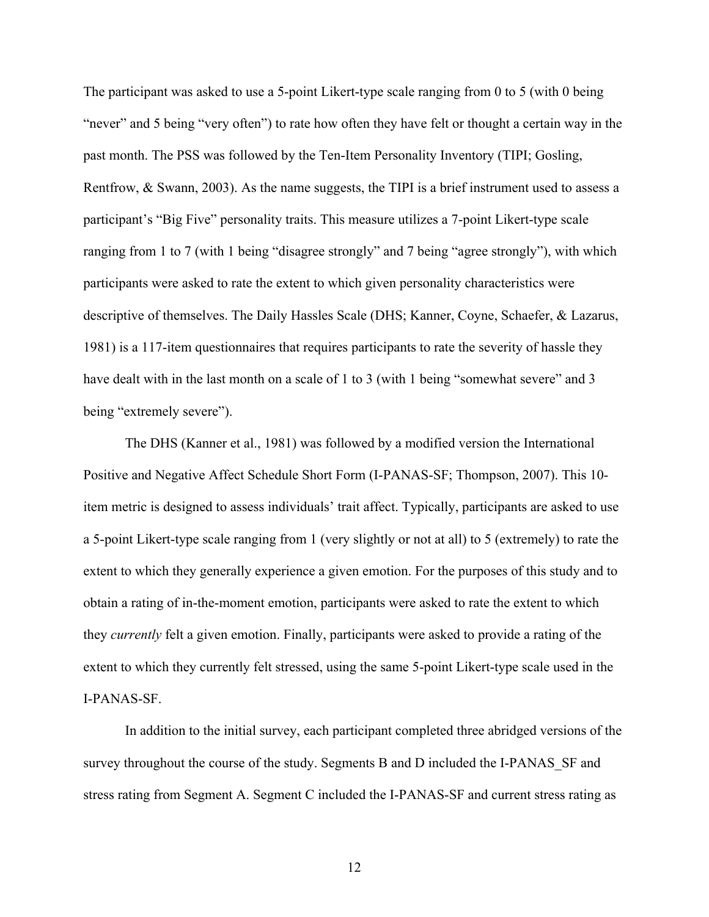The participant was asked to use a 5-point Likert-type scale ranging from 0 to 5 (with 0 being "never" and 5 being "very often") to rate how often they have felt or thought a certain way in the past month. The PSS was followed by the Ten-Item Personality Inventory (TIPI; Gosling, Rentfrow, & Swann, 2003). As the name suggests, the TIPI is a brief instrument used to assess a participant's "Big Five" personality traits. This measure utilizes a 7-point Likert-type scale ranging from 1 to 7 (with 1 being "disagree strongly" and 7 being "agree strongly"), with which participants were asked to rate the extent to which given personality characteristics were descriptive of themselves. The Daily Hassles Scale (DHS; Kanner, Coyne, Schaefer, & Lazarus, 1981) is a 117-item questionnaires that requires participants to rate the severity of hassle they have dealt with in the last month on a scale of 1 to 3 (with 1 being "somewhat severe" and 3 being "extremely severe").

The DHS (Kanner et al., 1981) was followed by a modified version the International Positive and Negative Affect Schedule Short Form (I-PANAS-SF; Thompson, 2007). This 10 item metric is designed to assess individuals' trait affect. Typically, participants are asked to use a 5-point Likert-type scale ranging from 1 (very slightly or not at all) to 5 (extremely) to rate the extent to which they generally experience a given emotion. For the purposes of this study and to obtain a rating of in-the-moment emotion, participants were asked to rate the extent to which they *currently* felt a given emotion. Finally, participants were asked to provide a rating of the extent to which they currently felt stressed, using the same 5-point Likert-type scale used in the I-PANAS-SF.

In addition to the initial survey, each participant completed three abridged versions of the survey throughout the course of the study. Segments B and D included the I-PANAS SF and stress rating from Segment A. Segment C included the I-PANAS-SF and current stress rating as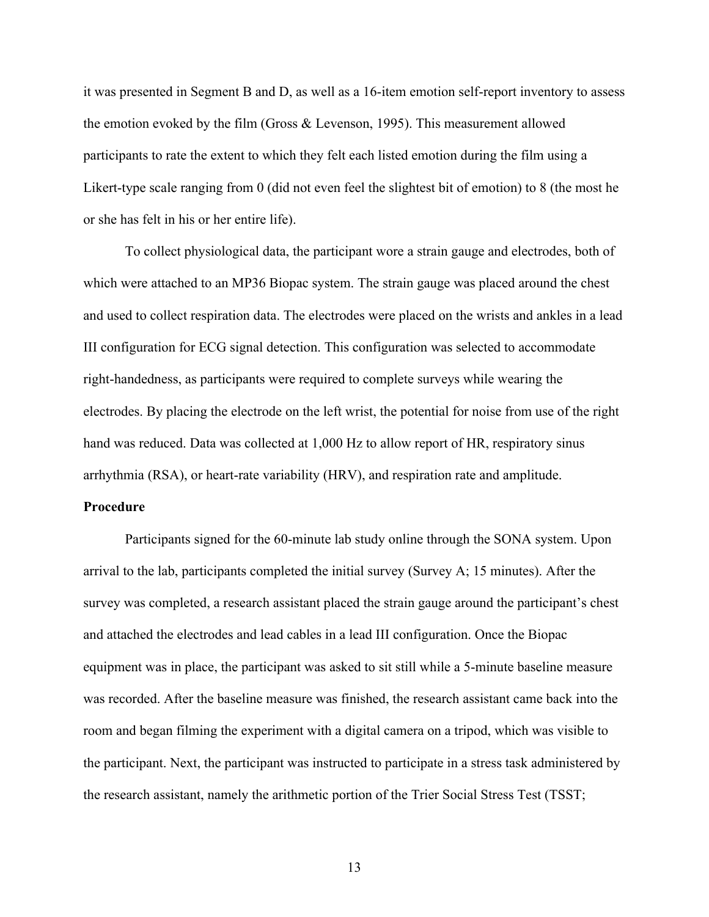it was presented in Segment B and D, as well as a 16-item emotion self-report inventory to assess the emotion evoked by the film (Gross & Levenson, 1995). This measurement allowed participants to rate the extent to which they felt each listed emotion during the film using a Likert-type scale ranging from 0 (did not even feel the slightest bit of emotion) to 8 (the most he or she has felt in his or her entire life).

To collect physiological data, the participant wore a strain gauge and electrodes, both of which were attached to an MP36 Biopac system. The strain gauge was placed around the chest and used to collect respiration data. The electrodes were placed on the wrists and ankles in a lead III configuration for ECG signal detection. This configuration was selected to accommodate right-handedness, as participants were required to complete surveys while wearing the electrodes. By placing the electrode on the left wrist, the potential for noise from use of the right hand was reduced. Data was collected at 1,000 Hz to allow report of HR, respiratory sinus arrhythmia (RSA), or heart-rate variability (HRV), and respiration rate and amplitude.

## **Procedure**

Participants signed for the 60-minute lab study online through the SONA system. Upon arrival to the lab, participants completed the initial survey (Survey A; 15 minutes). After the survey was completed, a research assistant placed the strain gauge around the participant's chest and attached the electrodes and lead cables in a lead III configuration. Once the Biopac equipment was in place, the participant was asked to sit still while a 5-minute baseline measure was recorded. After the baseline measure was finished, the research assistant came back into the room and began filming the experiment with a digital camera on a tripod, which was visible to the participant. Next, the participant was instructed to participate in a stress task administered by the research assistant, namely the arithmetic portion of the Trier Social Stress Test (TSST;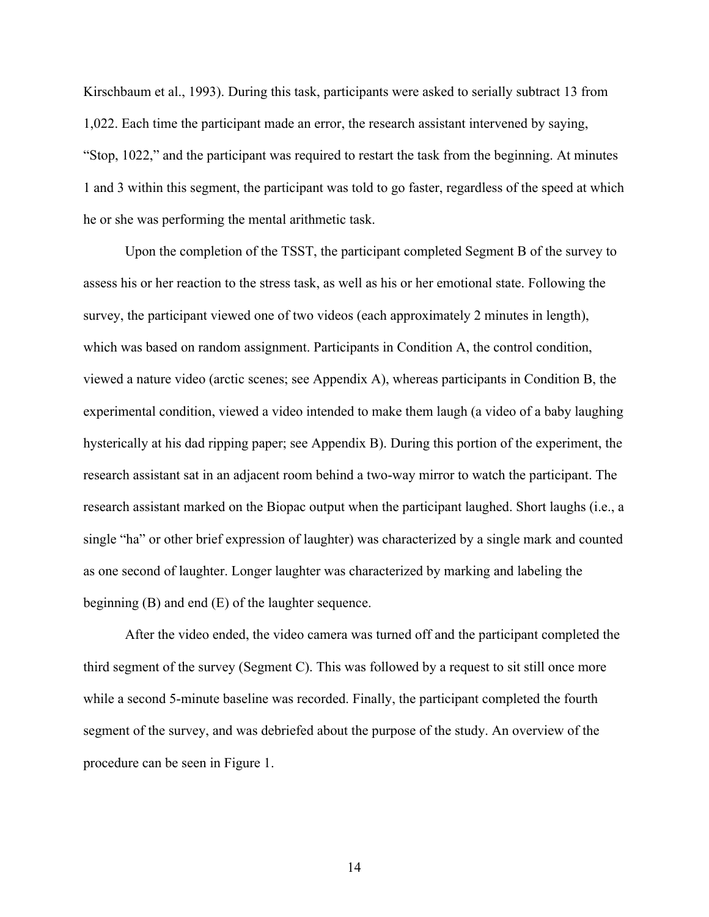Kirschbaum et al., 1993). During this task, participants were asked to serially subtract 13 from 1,022. Each time the participant made an error, the research assistant intervened by saying, "Stop, 1022," and the participant was required to restart the task from the beginning. At minutes 1 and 3 within this segment, the participant was told to go faster, regardless of the speed at which he or she was performing the mental arithmetic task.

Upon the completion of the TSST, the participant completed Segment B of the survey to assess his or her reaction to the stress task, as well as his or her emotional state. Following the survey, the participant viewed one of two videos (each approximately 2 minutes in length), which was based on random assignment. Participants in Condition A, the control condition, viewed a nature video (arctic scenes; see Appendix A), whereas participants in Condition B, the experimental condition, viewed a video intended to make them laugh (a video of a baby laughing hysterically at his dad ripping paper; see Appendix B). During this portion of the experiment, the research assistant sat in an adjacent room behind a two-way mirror to watch the participant. The research assistant marked on the Biopac output when the participant laughed. Short laughs (i.e., a single "ha" or other brief expression of laughter) was characterized by a single mark and counted as one second of laughter. Longer laughter was characterized by marking and labeling the beginning (B) and end (E) of the laughter sequence.

After the video ended, the video camera was turned off and the participant completed the third segment of the survey (Segment C). This was followed by a request to sit still once more while a second 5-minute baseline was recorded. Finally, the participant completed the fourth segment of the survey, and was debriefed about the purpose of the study. An overview of the procedure can be seen in Figure 1.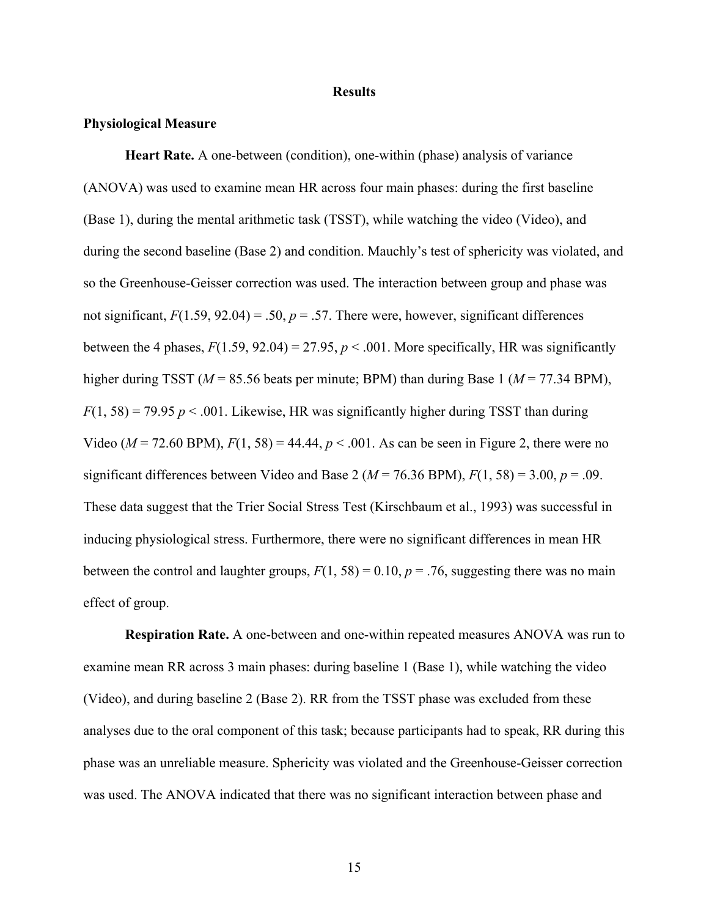#### **Results**

## **Physiological Measure**

**Heart Rate.** A one-between (condition), one-within (phase) analysis of variance (ANOVA) was used to examine mean HR across four main phases: during the first baseline (Base 1), during the mental arithmetic task (TSST), while watching the video (Video), and during the second baseline (Base 2) and condition. Mauchly's test of sphericity was violated, and so the Greenhouse-Geisser correction was used. The interaction between group and phase was not significant,  $F(1.59, 92.04) = .50$ ,  $p = .57$ . There were, however, significant differences between the 4 phases,  $F(1.59, 92.04) = 27.95$ ,  $p < .001$ . More specifically, HR was significantly higher during TSST ( $M = 85.56$  beats per minute; BPM) than during Base 1 ( $M = 77.34$  BPM),  $F(1, 58) = 79.95 p < .001$ . Likewise, HR was significantly higher during TSST than during Video ( $M = 72.60$  BPM),  $F(1, 58) = 44.44$ ,  $p < .001$ . As can be seen in Figure 2, there were no significant differences between Video and Base 2 ( $M = 76.36$  BPM),  $F(1, 58) = 3.00$ ,  $p = .09$ . These data suggest that the Trier Social Stress Test (Kirschbaum et al., 1993) was successful in inducing physiological stress. Furthermore, there were no significant differences in mean HR between the control and laughter groups,  $F(1, 58) = 0.10$ ,  $p = .76$ , suggesting there was no main effect of group.

**Respiration Rate.** A one-between and one-within repeated measures ANOVA was run to examine mean RR across 3 main phases: during baseline 1 (Base 1), while watching the video (Video), and during baseline 2 (Base 2). RR from the TSST phase was excluded from these analyses due to the oral component of this task; because participants had to speak, RR during this phase was an unreliable measure. Sphericity was violated and the Greenhouse-Geisser correction was used. The ANOVA indicated that there was no significant interaction between phase and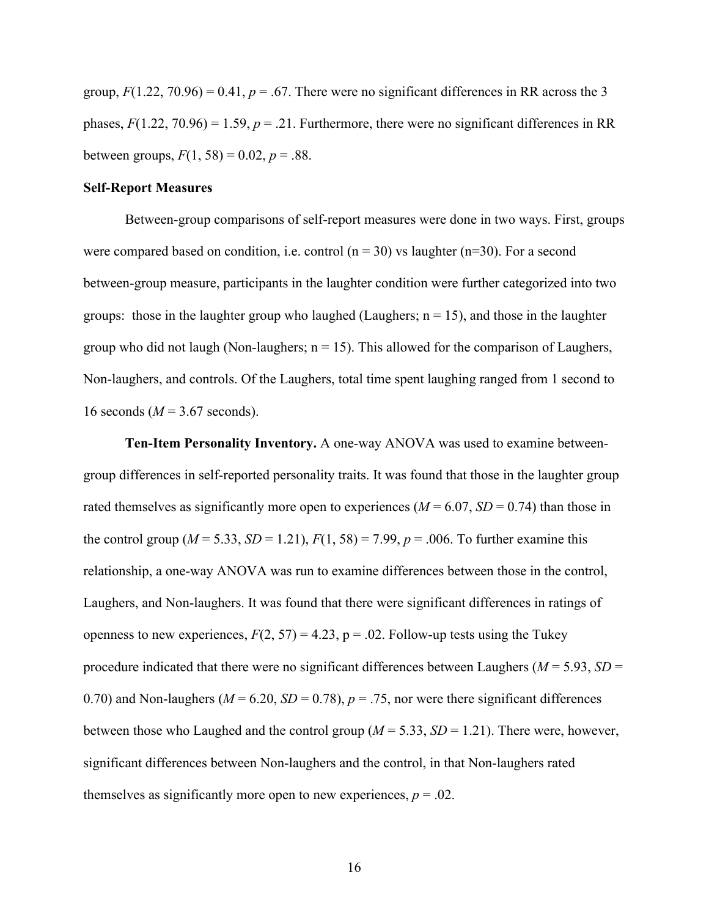group,  $F(1.22, 70.96) = 0.41$ ,  $p = .67$ . There were no significant differences in RR across the 3 phases,  $F(1.22, 70.96) = 1.59$ ,  $p = .21$ . Furthermore, there were no significant differences in RR between groups,  $F(1, 58) = 0.02$ ,  $p = .88$ .

## **Self-Report Measures**

Between-group comparisons of self-report measures were done in two ways. First, groups were compared based on condition, i.e. control  $(n = 30)$  vs laughter  $(n=30)$ . For a second between-group measure, participants in the laughter condition were further categorized into two groups: those in the laughter group who laughed (Laughers;  $n = 15$ ), and those in the laughter group who did not laugh (Non-laughers;  $n = 15$ ). This allowed for the comparison of Laughers, Non-laughers, and controls. Of the Laughers, total time spent laughing ranged from 1 second to 16 seconds  $(M = 3.67$  seconds).

**Ten-Item Personality Inventory.** A one-way ANOVA was used to examine betweengroup differences in self-reported personality traits. It was found that those in the laughter group rated themselves as significantly more open to experiences ( $M = 6.07$ ,  $SD = 0.74$ ) than those in the control group ( $M = 5.33$ ,  $SD = 1.21$ ),  $F(1, 58) = 7.99$ ,  $p = .006$ . To further examine this relationship, a one-way ANOVA was run to examine differences between those in the control, Laughers, and Non-laughers. It was found that there were significant differences in ratings of openness to new experiences,  $F(2, 57) = 4.23$ ,  $p = .02$ . Follow-up tests using the Tukey procedure indicated that there were no significant differences between Laughers ( $M = 5.93$ ,  $SD =$ 0.70) and Non-laughers ( $M = 6.20$ ,  $SD = 0.78$ ),  $p = .75$ , nor were there significant differences between those who Laughed and the control group (*M* = 5.33, *SD* = 1.21). There were, however, significant differences between Non-laughers and the control, in that Non-laughers rated themselves as significantly more open to new experiences,  $p = .02$ .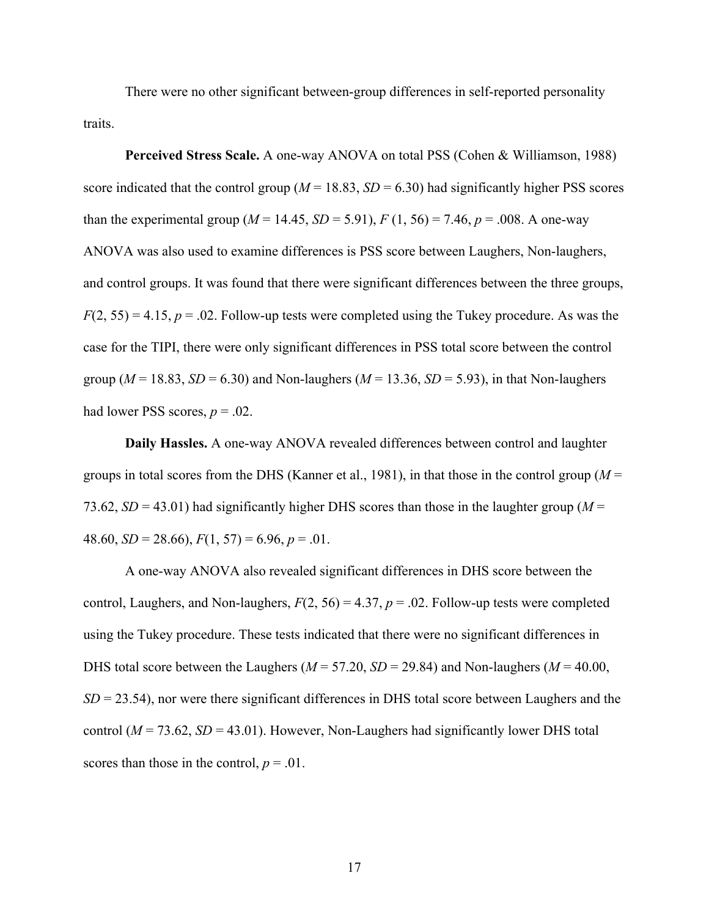There were no other significant between-group differences in self-reported personality traits.

**Perceived Stress Scale.** A one-way ANOVA on total PSS (Cohen & Williamson, 1988) score indicated that the control group ( $M = 18.83$ ,  $SD = 6.30$ ) had significantly higher PSS scores than the experimental group ( $M = 14.45$ ,  $SD = 5.91$ ),  $F(1, 56) = 7.46$ ,  $p = .008$ . A one-way ANOVA was also used to examine differences is PSS score between Laughers, Non-laughers, and control groups. It was found that there were significant differences between the three groups,  $F(2, 55) = 4.15$ ,  $p = .02$ . Follow-up tests were completed using the Tukey procedure. As was the case for the TIPI, there were only significant differences in PSS total score between the control group ( $M = 18.83$ ,  $SD = 6.30$ ) and Non-laughers ( $M = 13.36$ ,  $SD = 5.93$ ), in that Non-laughers had lower PSS scores,  $p = .02$ .

**Daily Hassles.** A one-way ANOVA revealed differences between control and laughter groups in total scores from the DHS (Kanner et al., 1981), in that those in the control group (*M* = 73.62,  $SD = 43.01$ ) had significantly higher DHS scores than those in the laughter group ( $M =$ 48.60,  $SD = 28.66$ ,  $F(1, 57) = 6.96$ ,  $p = .01$ .

A one-way ANOVA also revealed significant differences in DHS score between the control, Laughers, and Non-laughers,  $F(2, 56) = 4.37$ ,  $p = .02$ . Follow-up tests were completed using the Tukey procedure. These tests indicated that there were no significant differences in DHS total score between the Laughers (*M* = 57.20, *SD* = 29.84) and Non-laughers (*M* = 40.00, *SD* = 23.54), nor were there significant differences in DHS total score between Laughers and the control ( $M = 73.62$ ,  $SD = 43.01$ ). However, Non-Laughers had significantly lower DHS total scores than those in the control,  $p = .01$ .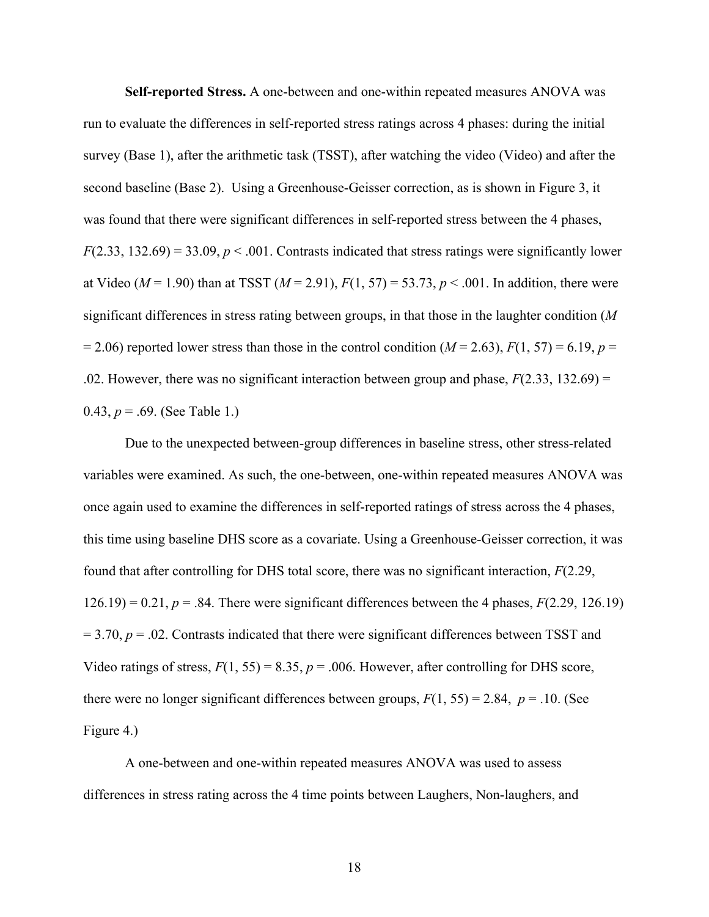**Self-reported Stress.** A one-between and one-within repeated measures ANOVA was run to evaluate the differences in self-reported stress ratings across 4 phases: during the initial survey (Base 1), after the arithmetic task (TSST), after watching the video (Video) and after the second baseline (Base 2). Using a Greenhouse-Geisser correction, as is shown in Figure 3, it was found that there were significant differences in self-reported stress between the 4 phases,  $F(2.33, 132.69) = 33.09$ ,  $p < .001$ . Contrasts indicated that stress ratings were significantly lower at Video ( $M = 1.90$ ) than at TSST ( $M = 2.91$ ),  $F(1, 57) = 53.73$ ,  $p < .001$ . In addition, there were significant differences in stress rating between groups, in that those in the laughter condition (*M*  $= 2.06$ ) reported lower stress than those in the control condition ( $M = 2.63$ ),  $F(1, 57) = 6.19$ ,  $p =$ .02. However, there was no significant interaction between group and phase,  $F(2.33, 132.69) =$ 0.43,  $p = .69$ . (See Table 1.)

Due to the unexpected between-group differences in baseline stress, other stress-related variables were examined. As such, the one-between, one-within repeated measures ANOVA was once again used to examine the differences in self-reported ratings of stress across the 4 phases, this time using baseline DHS score as a covariate. Using a Greenhouse-Geisser correction, it was found that after controlling for DHS total score, there was no significant interaction, *F*(2.29,  $126.19$  = 0.21,  $p = .84$ . There were significant differences between the 4 phases,  $F(2.29, 126.19)$  $= 3.70$ ,  $p = .02$ . Contrasts indicated that there were significant differences between TSST and Video ratings of stress,  $F(1, 55) = 8.35$ ,  $p = .006$ . However, after controlling for DHS score, there were no longer significant differences between groups,  $F(1, 55) = 2.84$ ,  $p = .10$ . (See Figure 4.)

A one-between and one-within repeated measures ANOVA was used to assess differences in stress rating across the 4 time points between Laughers, Non-laughers, and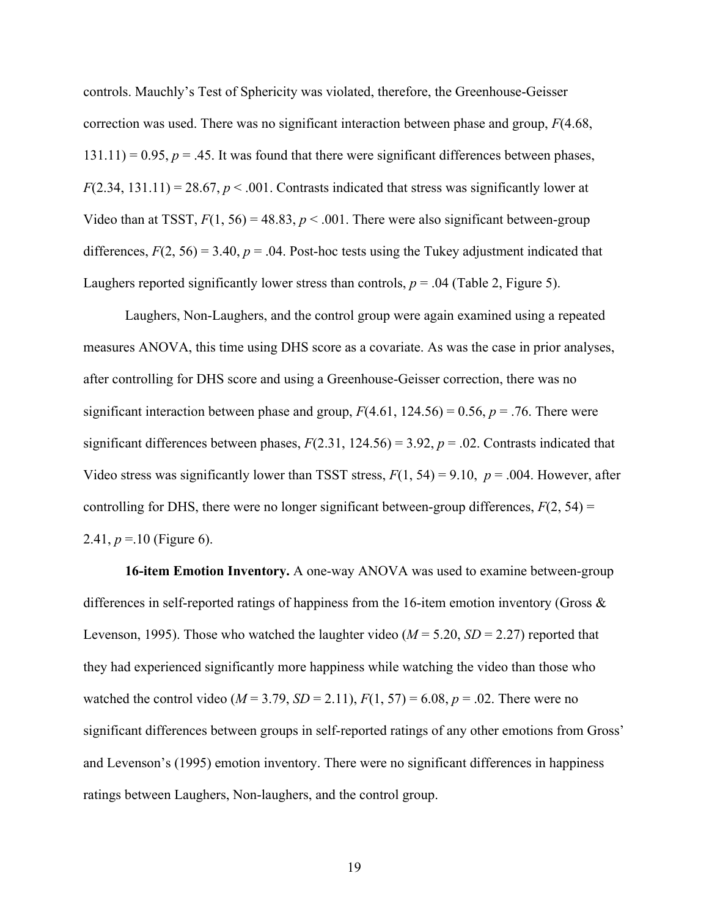controls. Mauchly's Test of Sphericity was violated, therefore, the Greenhouse-Geisser correction was used. There was no significant interaction between phase and group, *F*(4.68,  $131.11$ ) = 0.95,  $p = 0.45$ . It was found that there were significant differences between phases,  $F(2.34, 131.11) = 28.67, p < .001$ . Contrasts indicated that stress was significantly lower at Video than at TSST,  $F(1, 56) = 48.83$ ,  $p < .001$ . There were also significant between-group differences,  $F(2, 56) = 3.40$ ,  $p = .04$ . Post-hoc tests using the Tukey adjustment indicated that Laughers reported significantly lower stress than controls,  $p = .04$  (Table 2, Figure 5).

Laughers, Non-Laughers, and the control group were again examined using a repeated measures ANOVA, this time using DHS score as a covariate. As was the case in prior analyses, after controlling for DHS score and using a Greenhouse-Geisser correction, there was no significant interaction between phase and group,  $F(4.61, 124.56) = 0.56$ ,  $p = .76$ . There were significant differences between phases,  $F(2.31, 124.56) = 3.92$ ,  $p = .02$ . Contrasts indicated that Video stress was significantly lower than TSST stress,  $F(1, 54) = 9.10$ ,  $p = .004$ . However, after controlling for DHS, there were no longer significant between-group differences,  $F(2, 54) =$ 2.41,  $p = 10$  (Figure 6).

**16-item Emotion Inventory.** A one-way ANOVA was used to examine between-group differences in self-reported ratings of happiness from the 16-item emotion inventory (Gross  $\&$ Levenson, 1995). Those who watched the laughter video  $(M = 5.20, SD = 2.27)$  reported that they had experienced significantly more happiness while watching the video than those who watched the control video ( $M = 3.79$ ,  $SD = 2.11$ ),  $F(1, 57) = 6.08$ ,  $p = .02$ . There were no significant differences between groups in self-reported ratings of any other emotions from Gross' and Levenson's (1995) emotion inventory. There were no significant differences in happiness ratings between Laughers, Non-laughers, and the control group.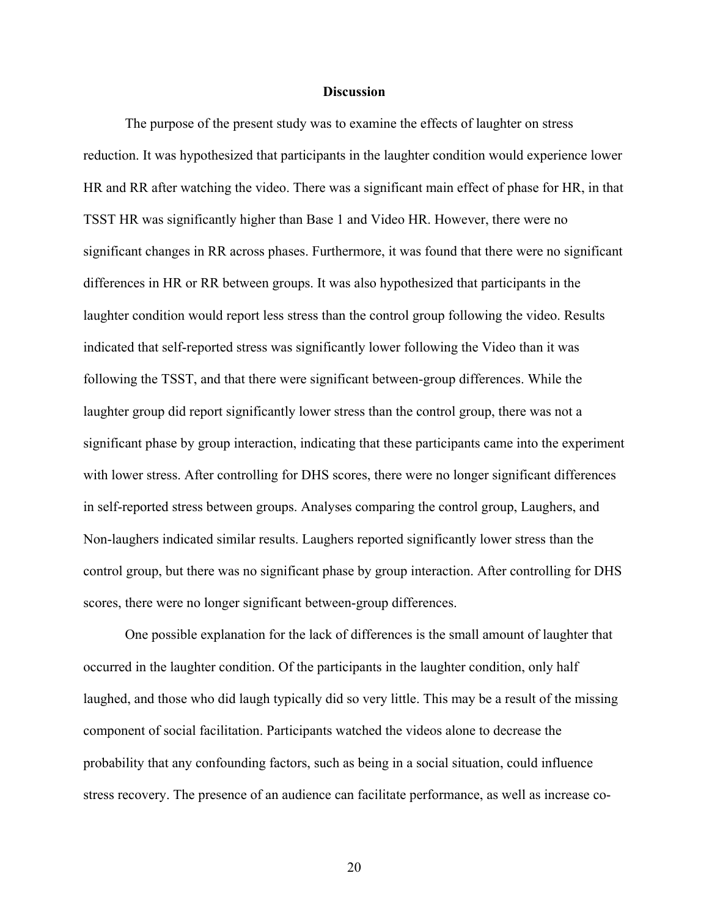## **Discussion**

The purpose of the present study was to examine the effects of laughter on stress reduction. It was hypothesized that participants in the laughter condition would experience lower HR and RR after watching the video. There was a significant main effect of phase for HR, in that TSST HR was significantly higher than Base 1 and Video HR. However, there were no significant changes in RR across phases. Furthermore, it was found that there were no significant differences in HR or RR between groups. It was also hypothesized that participants in the laughter condition would report less stress than the control group following the video. Results indicated that self-reported stress was significantly lower following the Video than it was following the TSST, and that there were significant between-group differences. While the laughter group did report significantly lower stress than the control group, there was not a significant phase by group interaction, indicating that these participants came into the experiment with lower stress. After controlling for DHS scores, there were no longer significant differences in self-reported stress between groups. Analyses comparing the control group, Laughers, and Non-laughers indicated similar results. Laughers reported significantly lower stress than the control group, but there was no significant phase by group interaction. After controlling for DHS scores, there were no longer significant between-group differences.

One possible explanation for the lack of differences is the small amount of laughter that occurred in the laughter condition. Of the participants in the laughter condition, only half laughed, and those who did laugh typically did so very little. This may be a result of the missing component of social facilitation. Participants watched the videos alone to decrease the probability that any confounding factors, such as being in a social situation, could influence stress recovery. The presence of an audience can facilitate performance, as well as increase co-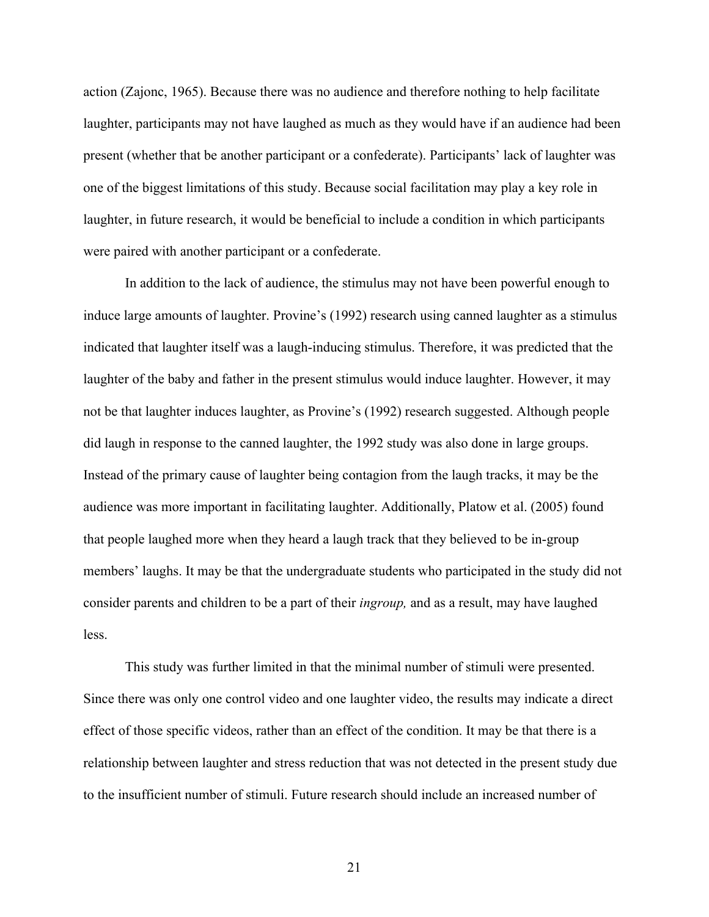action (Zajonc, 1965). Because there was no audience and therefore nothing to help facilitate laughter, participants may not have laughed as much as they would have if an audience had been present (whether that be another participant or a confederate). Participants' lack of laughter was one of the biggest limitations of this study. Because social facilitation may play a key role in laughter, in future research, it would be beneficial to include a condition in which participants were paired with another participant or a confederate.

In addition to the lack of audience, the stimulus may not have been powerful enough to induce large amounts of laughter. Provine's (1992) research using canned laughter as a stimulus indicated that laughter itself was a laugh-inducing stimulus. Therefore, it was predicted that the laughter of the baby and father in the present stimulus would induce laughter. However, it may not be that laughter induces laughter, as Provine's (1992) research suggested. Although people did laugh in response to the canned laughter, the 1992 study was also done in large groups. Instead of the primary cause of laughter being contagion from the laugh tracks, it may be the audience was more important in facilitating laughter. Additionally, Platow et al. (2005) found that people laughed more when they heard a laugh track that they believed to be in-group members' laughs. It may be that the undergraduate students who participated in the study did not consider parents and children to be a part of their *ingroup,* and as a result, may have laughed less.

This study was further limited in that the minimal number of stimuli were presented. Since there was only one control video and one laughter video, the results may indicate a direct effect of those specific videos, rather than an effect of the condition. It may be that there is a relationship between laughter and stress reduction that was not detected in the present study due to the insufficient number of stimuli. Future research should include an increased number of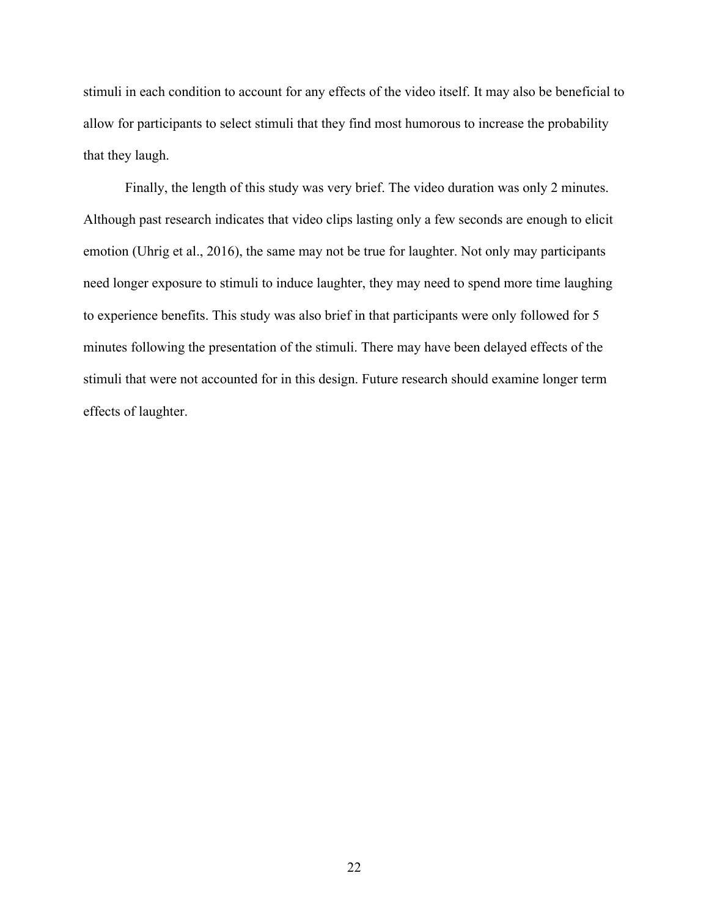stimuli in each condition to account for any effects of the video itself. It may also be beneficial to allow for participants to select stimuli that they find most humorous to increase the probability that they laugh.

Finally, the length of this study was very brief. The video duration was only 2 minutes. Although past research indicates that video clips lasting only a few seconds are enough to elicit emotion (Uhrig et al., 2016), the same may not be true for laughter. Not only may participants need longer exposure to stimuli to induce laughter, they may need to spend more time laughing to experience benefits. This study was also brief in that participants were only followed for 5 minutes following the presentation of the stimuli. There may have been delayed effects of the stimuli that were not accounted for in this design. Future research should examine longer term effects of laughter.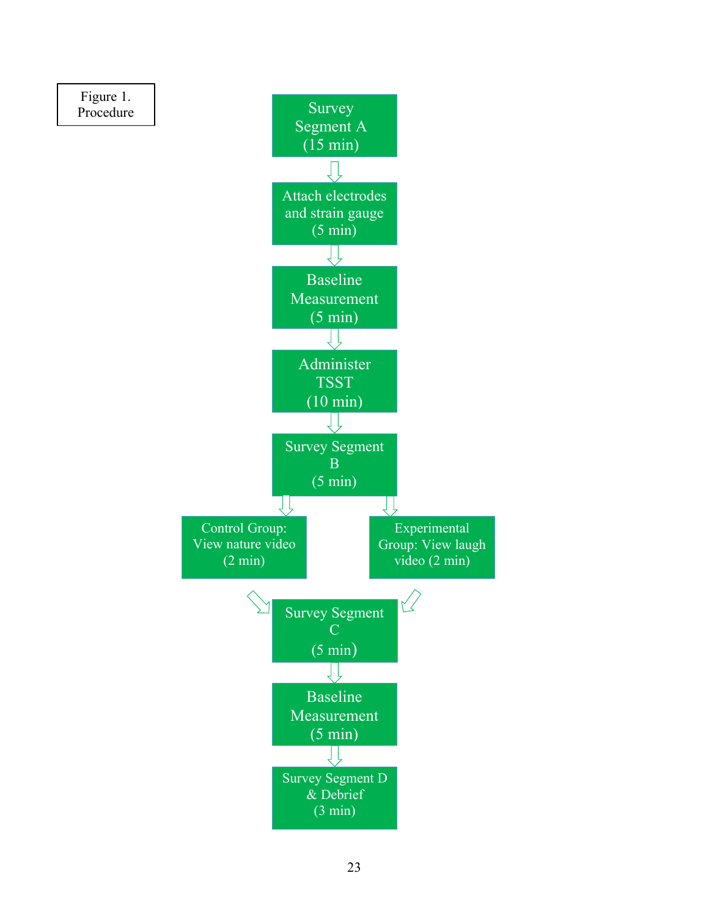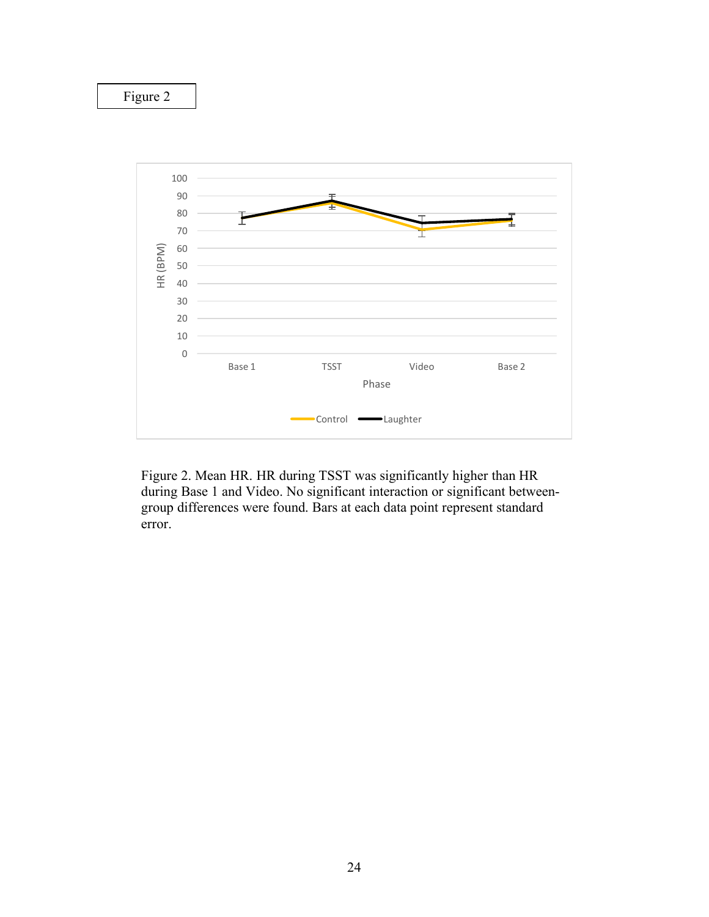

Figure 2. Mean HR. HR during TSST was significantly higher than HR during Base 1 and Video. No significant interaction or significant betweengroup differences were found. Bars at each data point represent standard error.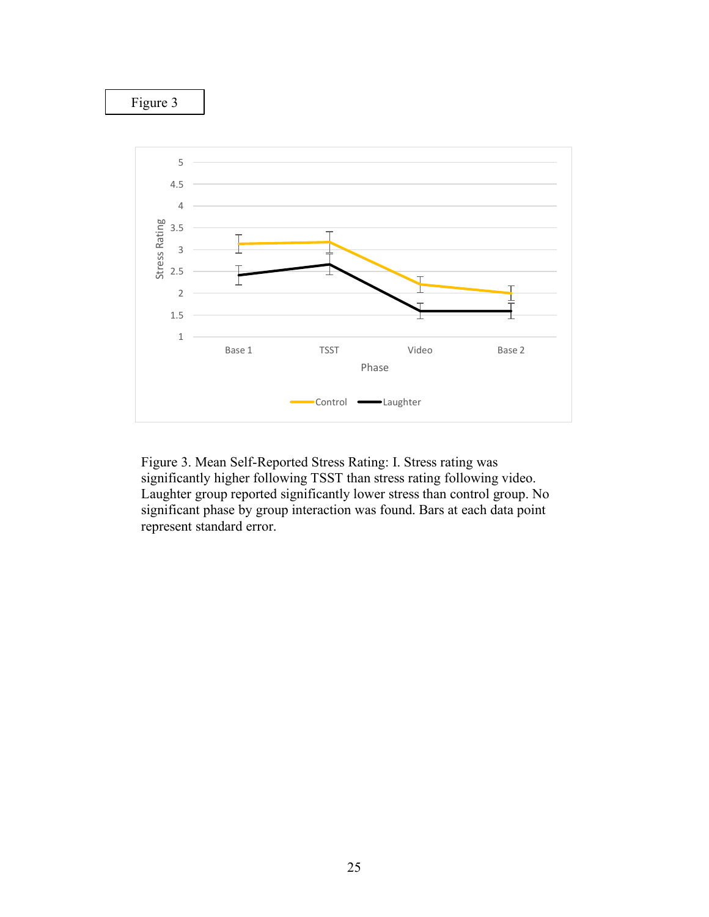

Figure 3. Mean Self-Reported Stress Rating: I. Stress rating was significantly higher following TSST than stress rating following video. Laughter group reported significantly lower stress than control group. No significant phase by group interaction was found. Bars at each data point represent standard error.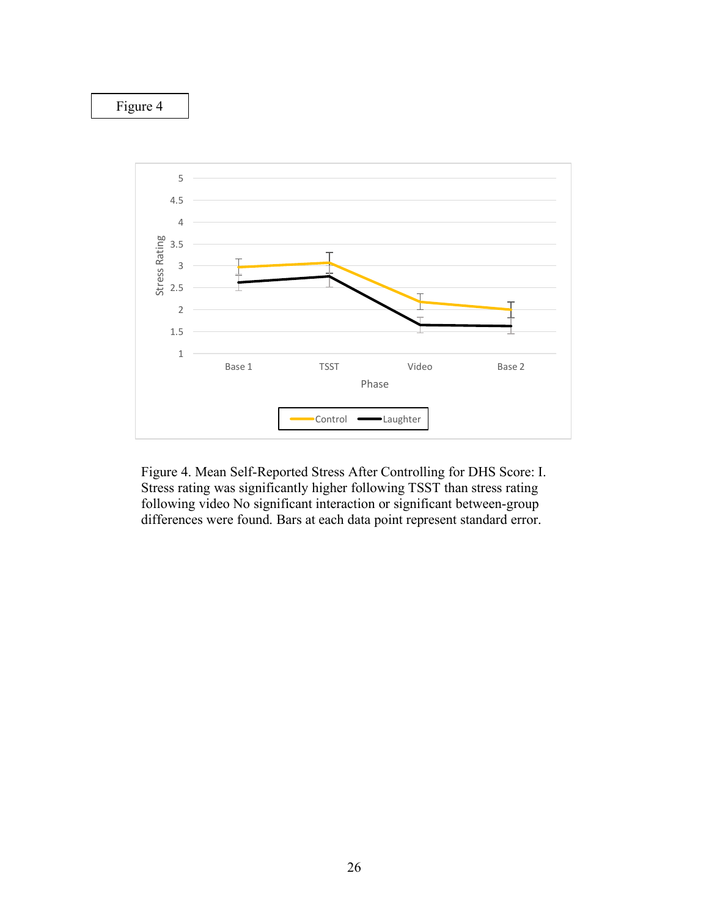

Figure 4. Mean Self-Reported Stress After Controlling for DHS Score: I. Stress rating was significantly higher following TSST than stress rating following video No significant interaction or significant between-group differences were found. Bars at each data point represent standard error.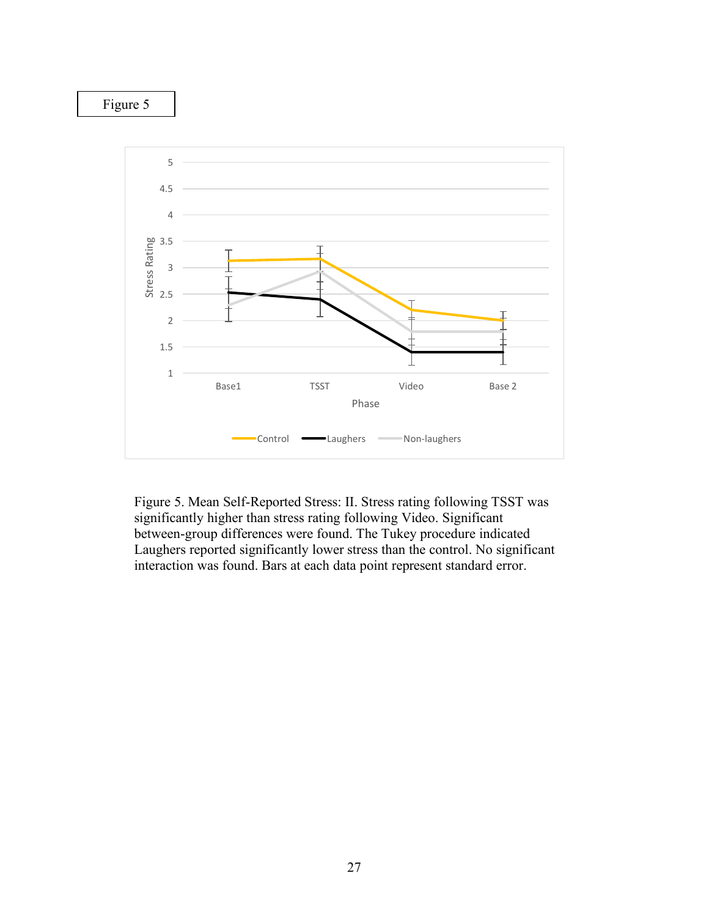

Figure 5. Mean Self-Reported Stress: II. Stress rating following TSST was significantly higher than stress rating following Video. Significant between-group differences were found. The Tukey procedure indicated Laughers reported significantly lower stress than the control. No significant interaction was found. Bars at each data point represent standard error.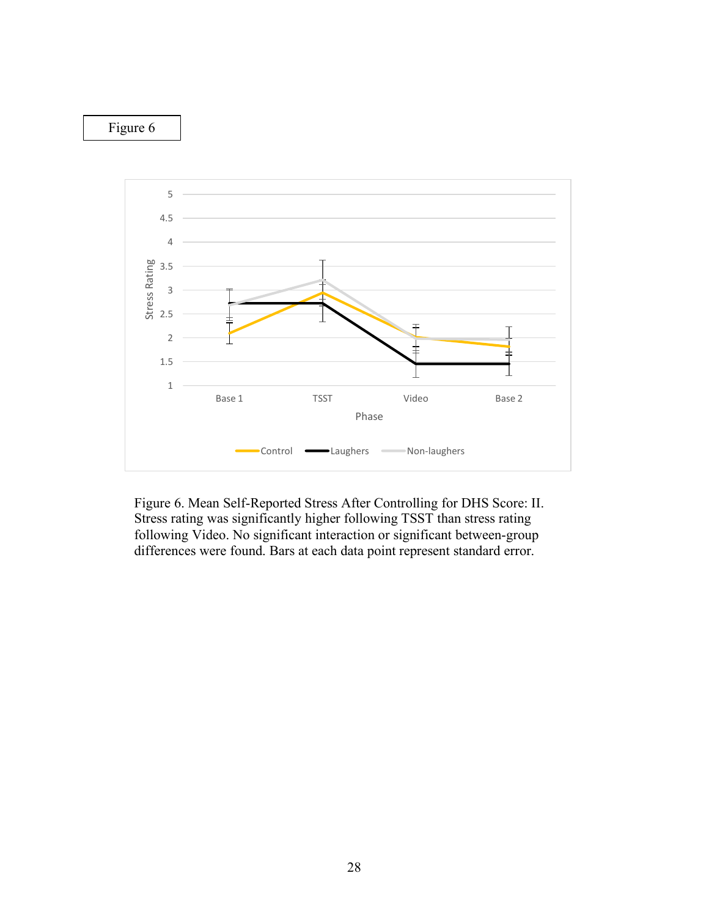

Figure 6. Mean Self-Reported Stress After Controlling for DHS Score: II. Stress rating was significantly higher following TSST than stress rating following Video. No significant interaction or significant between-group differences were found. Bars at each data point represent standard error.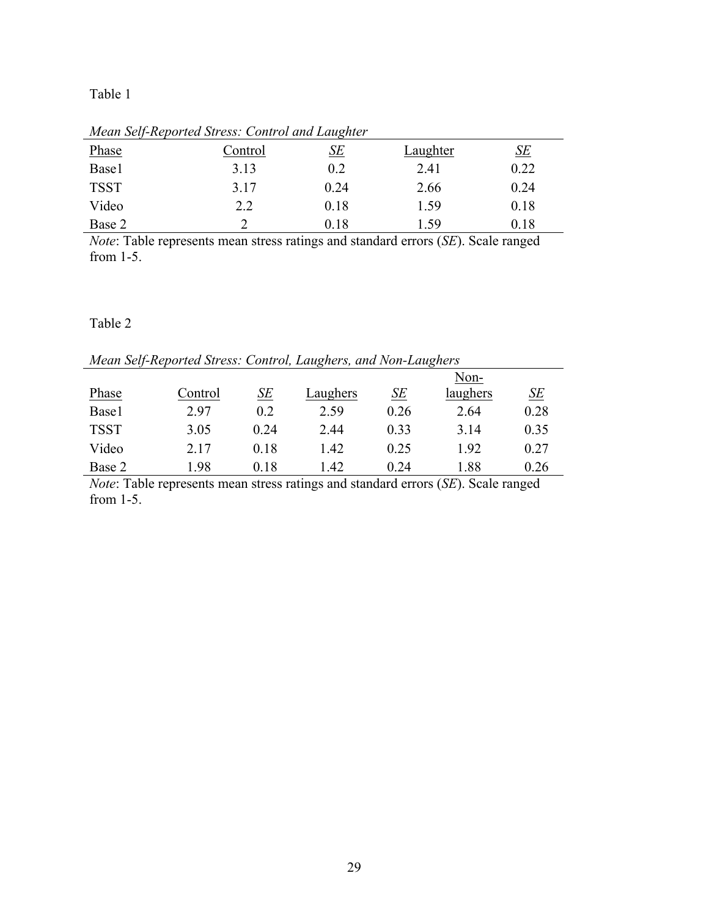# Table 1

| <u>1110au 901 - Reporteu 911099, Control anu Buttenen</u> |           |          |                           |  |  |  |
|-----------------------------------------------------------|-----------|----------|---------------------------|--|--|--|
| Control                                                   | <u>SE</u> | Laughter | $\underline{\mathit{SE}}$ |  |  |  |
| 3.13                                                      | 0.2       | 2.41     | 0.22                      |  |  |  |
| 3.17                                                      | 0.24      | 2.66     | 0.24                      |  |  |  |
| 2.2                                                       | 0.18      | 1.59     | 0.18                      |  |  |  |
|                                                           | 0.18      | .59      | $\rm 0.18$                |  |  |  |
|                                                           |           |          |                           |  |  |  |

*Mean Self-Reported Stress: Control and Laughter*

*Note*: Table represents mean stress ratings and standard errors (*SE*). Scale ranged from 1-5.

## Table 2

*Mean Self-Reported Stress: Control, Laughers, and Non-Laughers*

|             |         |      |          |      | Non-     |           |
|-------------|---------|------|----------|------|----------|-----------|
| Phase       | Control | SE   | Laughers | SE   | laughers | <u>SE</u> |
| Base1       | 2.97    | 0.2  | 2.59     | 0.26 | 2.64     | 0.28      |
| <b>TSST</b> | 3.05    | 0.24 | 2.44     | 0.33 | 3 14     | 0.35      |
| Video       | 2.17    | 0.18 | 1.42     | 0.25 | 1.92     | 0.27      |
| Base 2      | .98     | 0.18 | 1.42     | 0.24 | .88      | 0.26      |

*Note*: Table represents mean stress ratings and standard errors (*SE*). Scale ranged from 1-5.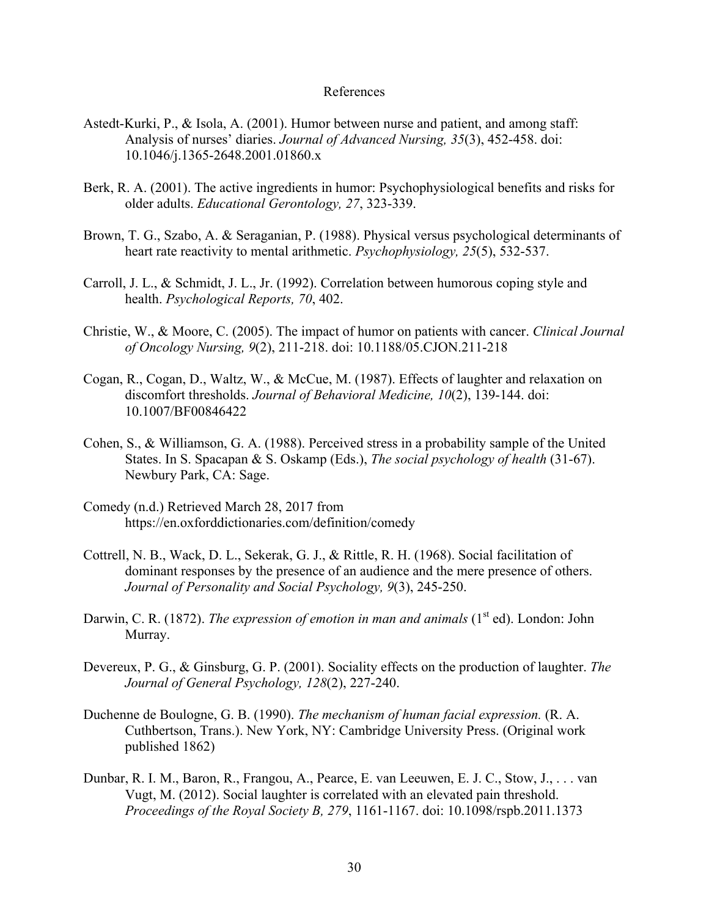## References

- Astedt-Kurki, P., & Isola, A. (2001). Humor between nurse and patient, and among staff: Analysis of nurses' diaries. *Journal of Advanced Nursing, 35*(3), 452-458. doi: 10.1046/j.1365-2648.2001.01860.x
- Berk, R. A. (2001). The active ingredients in humor: Psychophysiological benefits and risks for older adults. *Educational Gerontology, 27*, 323-339.
- Brown, T. G., Szabo, A. & Seraganian, P. (1988). Physical versus psychological determinants of heart rate reactivity to mental arithmetic. *Psychophysiology, 25*(5), 532-537.
- Carroll, J. L., & Schmidt, J. L., Jr. (1992). Correlation between humorous coping style and health. *Psychological Reports, 70*, 402.
- Christie, W., & Moore, C. (2005). The impact of humor on patients with cancer. *Clinical Journal of Oncology Nursing, 9*(2), 211-218. doi: 10.1188/05.CJON.211-218
- Cogan, R., Cogan, D., Waltz, W., & McCue, M. (1987). Effects of laughter and relaxation on discomfort thresholds. *Journal of Behavioral Medicine, 10*(2), 139-144. doi: 10.1007/BF00846422
- Cohen, S., & Williamson, G. A. (1988). Perceived stress in a probability sample of the United States. In S. Spacapan & S. Oskamp (Eds.), *The social psychology of health* (31-67). Newbury Park, CA: Sage.
- Comedy (n.d.) Retrieved March 28, 2017 from https://en.oxforddictionaries.com/definition/comedy
- Cottrell, N. B., Wack, D. L., Sekerak, G. J., & Rittle, R. H. (1968). Social facilitation of dominant responses by the presence of an audience and the mere presence of others. *Journal of Personality and Social Psychology, 9*(3), 245-250.
- Darwin, C. R. (1872). *The expression of emotion in man and animals* (1<sup>st</sup> ed). London: John Murray.
- Devereux, P. G., & Ginsburg, G. P. (2001). Sociality effects on the production of laughter. *The Journal of General Psychology, 128*(2), 227-240.
- Duchenne de Boulogne, G. B. (1990). *The mechanism of human facial expression.* (R. A. Cuthbertson, Trans.). New York, NY: Cambridge University Press. (Original work published 1862)
- Dunbar, R. I. M., Baron, R., Frangou, A., Pearce, E. van Leeuwen, E. J. C., Stow, J., . . . van Vugt, M. (2012). Social laughter is correlated with an elevated pain threshold. *Proceedings of the Royal Society B, 279*, 1161-1167. doi: 10.1098/rspb.2011.1373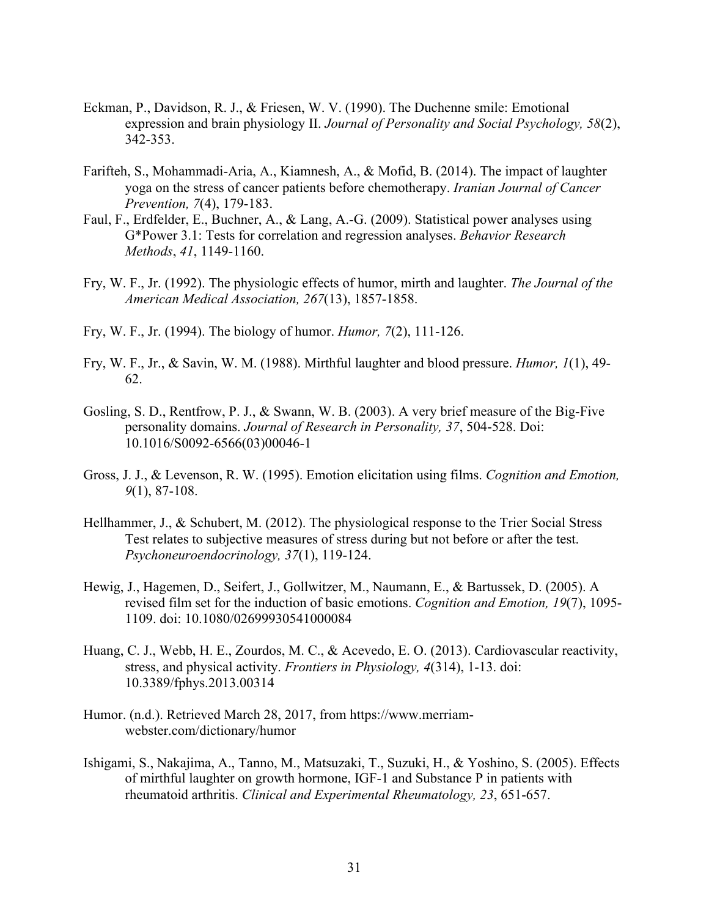- Eckman, P., Davidson, R. J., & Friesen, W. V. (1990). The Duchenne smile: Emotional expression and brain physiology II. *Journal of Personality and Social Psychology, 58*(2), 342-353.
- Farifteh, S., Mohammadi-Aria, A., Kiamnesh, A., & Mofid, B. (2014). The impact of laughter yoga on the stress of cancer patients before chemotherapy. *Iranian Journal of Cancer Prevention, 7*(4), 179-183.
- Faul, F., Erdfelder, E., Buchner, A., & Lang, A.-G. (2009). Statistical power analyses using G\*Power 3.1: Tests for correlation and regression analyses. *Behavior Research Methods*, *41*, 1149-1160.
- Fry, W. F., Jr. (1992). The physiologic effects of humor, mirth and laughter. *The Journal of the American Medical Association, 267*(13), 1857-1858.
- Fry, W. F., Jr. (1994). The biology of humor. *Humor, 7*(2), 111-126.
- Fry, W. F., Jr., & Savin, W. M. (1988). Mirthful laughter and blood pressure. *Humor, 1*(1), 49- 62.
- Gosling, S. D., Rentfrow, P. J., & Swann, W. B. (2003). A very brief measure of the Big-Five personality domains. *Journal of Research in Personality, 37*, 504-528. Doi: 10.1016/S0092-6566(03)00046-1
- Gross, J. J., & Levenson, R. W. (1995). Emotion elicitation using films. *Cognition and Emotion, 9*(1), 87-108.
- Hellhammer, J., & Schubert, M. (2012). The physiological response to the Trier Social Stress Test relates to subjective measures of stress during but not before or after the test. *Psychoneuroendocrinology, 37*(1), 119-124.
- Hewig, J., Hagemen, D., Seifert, J., Gollwitzer, M., Naumann, E., & Bartussek, D. (2005). A revised film set for the induction of basic emotions. *Cognition and Emotion, 19*(7), 1095- 1109. doi: 10.1080/02699930541000084
- Huang, C. J., Webb, H. E., Zourdos, M. C., & Acevedo, E. O. (2013). Cardiovascular reactivity, stress, and physical activity. *Frontiers in Physiology, 4*(314), 1-13. doi: 10.3389/fphys.2013.00314
- Humor. (n.d.). Retrieved March 28, 2017, from https://www.merriamwebster.com/dictionary/humor
- Ishigami, S., Nakajima, A., Tanno, M., Matsuzaki, T., Suzuki, H., & Yoshino, S. (2005). Effects of mirthful laughter on growth hormone, IGF-1 and Substance P in patients with rheumatoid arthritis. *Clinical and Experimental Rheumatology, 23*, 651-657.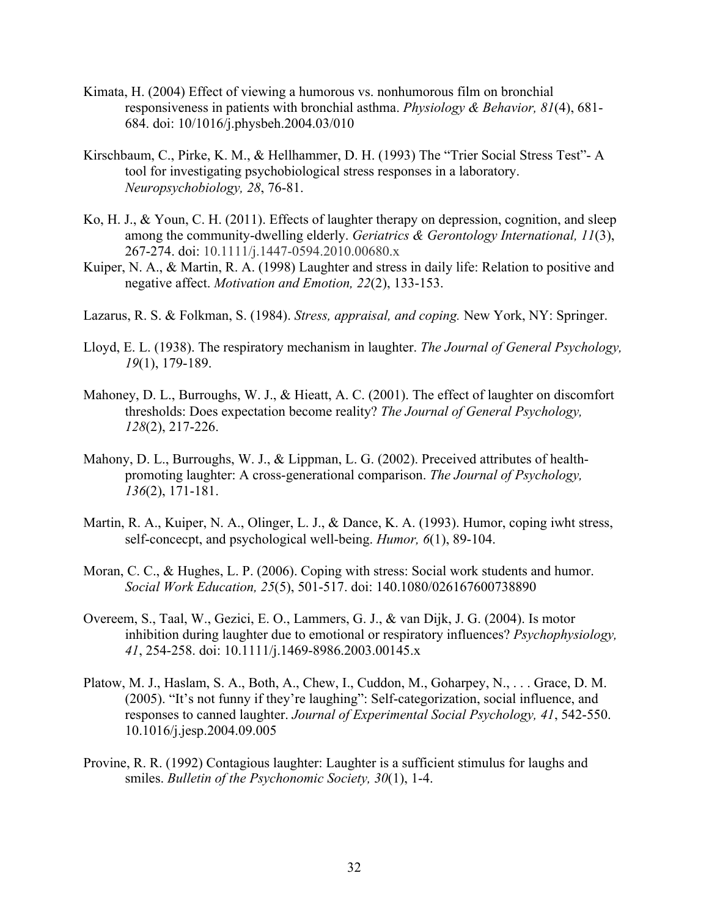- Kimata, H. (2004) Effect of viewing a humorous vs. nonhumorous film on bronchial responsiveness in patients with bronchial asthma. *Physiology & Behavior, 81*(4), 681- 684. doi: 10/1016/j.physbeh.2004.03/010
- Kirschbaum, C., Pirke, K. M., & Hellhammer, D. H. (1993) The "Trier Social Stress Test"- A tool for investigating psychobiological stress responses in a laboratory. *Neuropsychobiology, 28*, 76-81.
- Ko, H. J., & Youn, C. H. (2011). Effects of laughter therapy on depression, cognition, and sleep among the community-dwelling elderly. *Geriatrics & Gerontology International, 11*(3), 267-274. doi: 10.1111/j.1447-0594.2010.00680.x
- Kuiper, N. A., & Martin, R. A. (1998) Laughter and stress in daily life: Relation to positive and negative affect. *Motivation and Emotion, 22*(2), 133-153.
- Lazarus, R. S. & Folkman, S. (1984). *Stress, appraisal, and coping.* New York, NY: Springer.
- Lloyd, E. L. (1938). The respiratory mechanism in laughter. *The Journal of General Psychology, 19*(1), 179-189.
- Mahoney, D. L., Burroughs, W. J., & Hieatt, A. C. (2001). The effect of laughter on discomfort thresholds: Does expectation become reality? *The Journal of General Psychology, 128*(2), 217-226.
- Mahony, D. L., Burroughs, W. J., & Lippman, L. G. (2002). Preceived attributes of healthpromoting laughter: A cross-generational comparison. *The Journal of Psychology, 136*(2), 171-181.
- Martin, R. A., Kuiper, N. A., Olinger, L. J., & Dance, K. A. (1993). Humor, coping iwht stress, self-concecpt, and psychological well-being. *Humor, 6*(1), 89-104.
- Moran, C. C., & Hughes, L. P. (2006). Coping with stress: Social work students and humor. *Social Work Education, 25*(5), 501-517. doi: 140.1080/026167600738890
- Overeem, S., Taal, W., Gezici, E. O., Lammers, G. J., & van Dijk, J. G. (2004). Is motor inhibition during laughter due to emotional or respiratory influences? *Psychophysiology, 41*, 254-258. doi: 10.1111/j.1469-8986.2003.00145.x
- Platow, M. J., Haslam, S. A., Both, A., Chew, I., Cuddon, M., Goharpey, N., . . . Grace, D. M. (2005). "It's not funny if they're laughing": Self-categorization, social influence, and responses to canned laughter. *Journal of Experimental Social Psychology, 41*, 542-550. 10.1016/j.jesp.2004.09.005
- Provine, R. R. (1992) Contagious laughter: Laughter is a sufficient stimulus for laughs and smiles. *Bulletin of the Psychonomic Society, 30*(1), 1-4.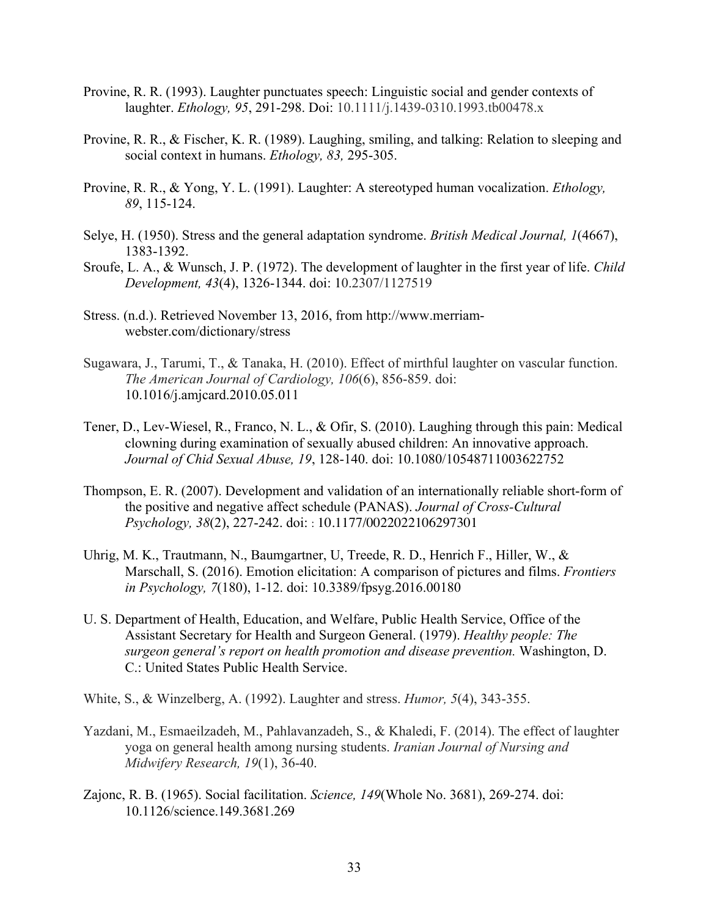- Provine, R. R. (1993). Laughter punctuates speech: Linguistic social and gender contexts of laughter. *Ethology, 95*, 291-298. Doi: 10.1111/j.1439-0310.1993.tb00478.x
- Provine, R. R., & Fischer, K. R. (1989). Laughing, smiling, and talking: Relation to sleeping and social context in humans. *Ethology, 83,* 295-305.
- Provine, R. R., & Yong, Y. L. (1991). Laughter: A stereotyped human vocalization. *Ethology, 89*, 115-124.
- Selye, H. (1950). Stress and the general adaptation syndrome. *British Medical Journal, 1*(4667), 1383-1392.
- Sroufe, L. A., & Wunsch, J. P. (1972). The development of laughter in the first year of life. *Child Development, 43*(4), 1326-1344. doi: 10.2307/1127519
- Stress. (n.d.). Retrieved November 13, 2016, from http://www.merriamwebster.com/dictionary/stress
- Sugawara, J., Tarumi, T., & Tanaka, H. (2010). Effect of mirthful laughter on vascular function. *The American Journal of Cardiology, 106*(6), 856-859. doi: 10.1016/j.amjcard.2010.05.011
- Tener, D., Lev-Wiesel, R., Franco, N. L., & Ofir, S. (2010). Laughing through this pain: Medical clowning during examination of sexually abused children: An innovative approach. *Journal of Chid Sexual Abuse, 19*, 128-140. doi: 10.1080/10548711003622752
- Thompson, E. R. (2007). Development and validation of an internationally reliable short-form of the positive and negative affect schedule (PANAS). *Journal of Cross-Cultural Psychology, 38*(2), 227-242. doi: : 10.1177/0022022106297301
- Uhrig, M. K., Trautmann, N., Baumgartner, U, Treede, R. D., Henrich F., Hiller, W., & Marschall, S. (2016). Emotion elicitation: A comparison of pictures and films. *Frontiers in Psychology, 7*(180), 1-12. doi: 10.3389/fpsyg.2016.00180
- U. S. Department of Health, Education, and Welfare, Public Health Service, Office of the Assistant Secretary for Health and Surgeon General. (1979). *Healthy people: The surgeon general's report on health promotion and disease prevention.* Washington, D. C.: United States Public Health Service.
- White, S., & Winzelberg, A. (1992). Laughter and stress. *Humor, 5*(4), 343-355.
- Yazdani, M., Esmaeilzadeh, M., Pahlavanzadeh, S., & Khaledi, F. (2014). The effect of laughter yoga on general health among nursing students. *Iranian Journal of Nursing and Midwifery Research, 19*(1), 36-40.
- Zajonc, R. B. (1965). Social facilitation. *Science, 149*(Whole No. 3681), 269-274. doi: 10.1126/science.149.3681.269